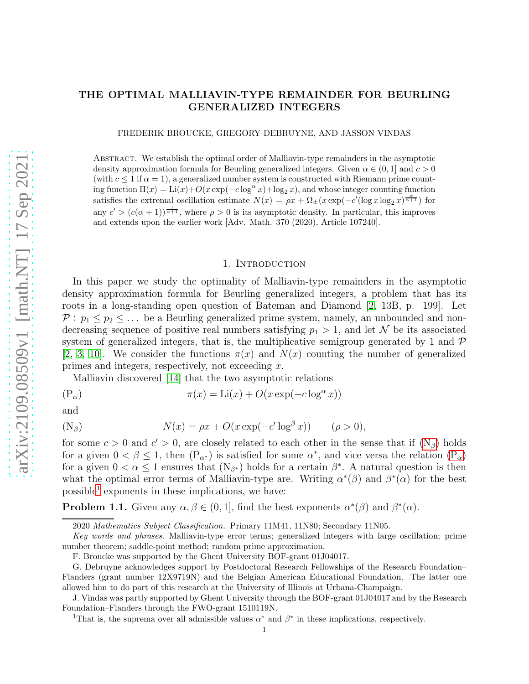# THE OPTIMAL MALLIAVIN-TYPE REMAINDER FOR BEURLING GENERALIZED INTEGERS

FREDERIK BROUCKE, GREGORY DEBRUYNE, AND JASSON VINDAS

Abstract. We establish the optimal order of Malliavin-type remainders in the asymptotic density approximation formula for Beurling generalized integers. Given  $\alpha \in (0,1]$  and  $c > 0$ (with  $c \leq 1$  if  $\alpha = 1$ ), a generalized number system is constructed with Riemann prime counting function  $\Pi(x) = \text{Li}(x) + O(x \exp(-c \log^{\alpha} x) + \log_2 x)$ , and whose integer counting function satisfies the extremal oscillation estimate  $N(x) = \rho x + \Omega_{\pm}(x \exp(-c'(\log x \log_2 x)^{\frac{\alpha}{\alpha+1}}))$  for any  $c' > (c(\alpha + 1))^{\frac{1}{\alpha+1}}$ , where  $\rho > 0$  is its asymptotic density. In particular, this improves and extends upon the earlier work [Adv. Math. 370 (2020), Article 107240].

#### 1. INTRODUCTION

In this paper we study the optimality of Malliavin-type remainders in the asymptotic density approximation formula for Beurling generalized integers, a problem that has its roots in a long-standing open question of Bateman and Diamond [\[2,](#page-24-0) 13B, p. 199]. Let  $P: p_1 \leq p_2 \leq \ldots$  be a Beurling generalized prime system, namely, an unbounded and nondecreasing sequence of positive real numbers satisfying  $p_1 > 1$ , and let N be its associated system of generalized integers, that is, the multiplicative semigroup generated by 1 and  $\mathcal P$ [\[2,](#page-24-0) [3,](#page-24-1) [10\]](#page-24-2). We consider the functions  $\pi(x)$  and  $N(x)$  counting the number of generalized primes and integers, respectively, not exceeding  $x$ .

Malliavin discovered [\[14\]](#page-24-3) that the two asymptotic relations

<span id="page-0-1"></span>
$$
(P_{\alpha}) \qquad \qquad \pi(x) = Li(x) + O(x \exp(-c \log^{\alpha} x))
$$

and

<span id="page-0-0"></span>(N<sub>β</sub>) 
$$
N(x) = \rho x + O(x \exp(-c' \log^{\beta} x)) \qquad (\rho > 0),
$$

for some  $c > 0$  and  $c' > 0$ , are closely related to each other in the sense that if  $(N_\beta)$  holds for a given  $0 < \beta \le 1$ , then  $(P_{\alpha^*})$  is satisfied for some  $\alpha^*$ , and vice versa the relation  $(P_{\alpha})$ for a given  $0 < \alpha \leq 1$  ensures that  $(N_{\beta^*})$  holds for a certain  $\beta^*$ . A natural question is then what the optimal error terms of Malliavin-type are. Writing  $\alpha^*(\beta)$  and  $\beta^*(\alpha)$  for the best  $possible<sup>1</sup>$  $possible<sup>1</sup>$  $possible<sup>1</sup>$  exponents in these implications, we have:

<span id="page-0-3"></span>**Problem 1.1.** Given any  $\alpha, \beta \in (0, 1]$ , find the best exponents  $\alpha^*(\beta)$  and  $\beta^*(\alpha)$ .

<sup>2020</sup> Mathematics Subject Classification. Primary 11M41, 11N80; Secondary 11N05.

Key words and phrases. Malliavin-type error terms; generalized integers with large oscillation; prime number theorem; saddle-point method; random prime approximation.

F. Broucke was supported by the Ghent University BOF-grant 01J04017.

G. Debruyne acknowledges support by Postdoctoral Research Fellowships of the Research Foundation– Flanders (grant number 12X9719N) and the Belgian American Educational Foundation. The latter one allowed him to do part of this research at the University of Illinois at Urbana-Champaign.

J. Vindas was partly supported by Ghent University through the BOF-grant 01J04017 and by the Research Foundation–Flanders through the FWO-grant 1510119N.

<span id="page-0-2"></span><sup>&</sup>lt;sup>1</sup>That is, the suprema over all admissible values  $\alpha^*$  and  $\beta^*$  in these implications, respectively.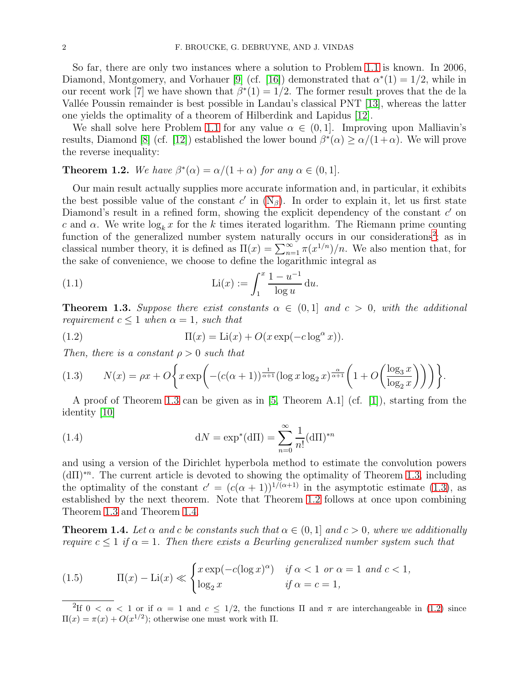So far, there are only two instances where a solution to Problem [1.1](#page-0-3) is known. In 2006, Diamond, Montgomery, and Vorhauer [\[9\]](#page-24-4) (cf. [\[16\]](#page-24-5)) demonstrated that  $\alpha^*(1) = 1/2$ , while in our recent work [7] we have shown that  $\beta^*(1) = 1/2$ . The former result proves that the de la Vallée Poussin remainder is best possible in Landau's classical PNT  $[13]$ , whereas the latter one yields the optimality of a theorem of Hilberdink and Lapidus [\[12\]](#page-24-7).

We shall solve here Problem [1.1](#page-0-3) for any value  $\alpha \in (0,1]$ . Improving upon Malliavin's results, Diamond [\[8\]](#page-24-8) (cf. [\[12\]](#page-24-7)) established the lower bound  $\beta^*(\alpha) \ge \alpha/(1+\alpha)$ . We will prove the reverse inequality:

<span id="page-1-3"></span>**Theorem 1.2.** We have  $\beta^*(\alpha) = \alpha/(1+\alpha)$  for any  $\alpha \in (0,1]$ .

Our main result actually supplies more accurate information and, in particular, it exhibits the best possible value of the constant  $c'$  in  $(N_\beta)$ . In order to explain it, let us first state Diamond's result in a refined form, showing the explicit dependency of the constant  $c'$  on c and  $\alpha$ . We write  $\log_k x$  for the k times iterated logarithm. The Riemann prime counting function of the generalized number system naturally occurs in our considerations<sup>[2](#page-1-0)</sup>; as in classical number theory, it is defined as  $\Pi(x) = \sum_{n=1}^{\infty} \pi(x^{1/n})/n$ . We also mention that, for the sake of convenience, we choose to define the logarithmic integral as

<span id="page-1-8"></span>(1.1) 
$$
\operatorname{Li}(x) := \int_1^x \frac{1 - u^{-1}}{\log u} \, \mathrm{d}u.
$$

<span id="page-1-1"></span>**Theorem 1.3.** Suppose there exist constants  $\alpha \in (0,1]$  and  $c > 0$ , with the additional *requirement*  $c \leq 1$  *when*  $\alpha = 1$ *, such that* 

<span id="page-1-5"></span>(1.2) 
$$
\Pi(x) = \text{Li}(x) + O(x \exp(-c \log^{\alpha} x)).
$$

Then, there is a constant  $\rho > 0$  such that

<span id="page-1-2"></span>
$$
(1.3) \qquad N(x) = \rho x + O\bigg\{x \exp\bigg(-(c(\alpha+1))^\frac{1}{\alpha+1}(\log x \log_2 x)^\frac{\alpha}{\alpha+1}\bigg(1+O\bigg(\frac{\log_3 x}{\log_2 x}\bigg)\bigg)\bigg)\bigg\}.
$$

A proof of Theorem [1.3](#page-1-1) can be given as in [\[5,](#page-24-9) Theorem A.1] (cf. [\[1\]](#page-24-10)), starting from the identity [\[10\]](#page-24-2)

<span id="page-1-7"></span>(1.4) 
$$
dN = \exp^*(d\Pi) = \sum_{n=0}^{\infty} \frac{1}{n!} (d\Pi)^{*n}
$$

and using a version of the Dirichlet hyperbola method to estimate the convolution powers (dΠ)<sup>∗</sup><sup>n</sup> . The current article is devoted to showing the optimality of Theorem [1.3,](#page-1-1) including the optimality of the constant  $c' = (c(\alpha + 1))^{1/(\alpha+1)}$  in the asymptotic estimate [\(1.3\)](#page-1-2), as established by the next theorem. Note that Theorem [1.2](#page-1-3) follows at once upon combining Theorem [1.3](#page-1-1) and Theorem [1.4.](#page-1-4)

<span id="page-1-4"></span>**Theorem 1.4.** Let  $\alpha$  and c be constants such that  $\alpha \in (0,1]$  and  $c > 0$ , where we additionally require  $c \leq 1$  if  $\alpha = 1$ . Then there exists a Beurling generalized number system such that

<span id="page-1-6"></span>(1.5) 
$$
\Pi(x) - \text{Li}(x) \ll \begin{cases} x \exp(-c(\log x)^{\alpha}) & \text{if } \alpha < 1 \text{ or } \alpha = 1 \text{ and } c < 1, \\ \log_2 x & \text{if } \alpha = c = 1, \end{cases}
$$

<span id="page-1-0"></span><sup>&</sup>lt;sup>2</sup>If  $0 < \alpha < 1$  or if  $\alpha = 1$  and  $c \le 1/2$ , the functions  $\Pi$  and  $\pi$  are interchangeable in [\(1.2\)](#page-1-5) since  $\Pi(x) = \pi(x) + O(x^{1/2})$ ; otherwise one must work with  $\Pi$ .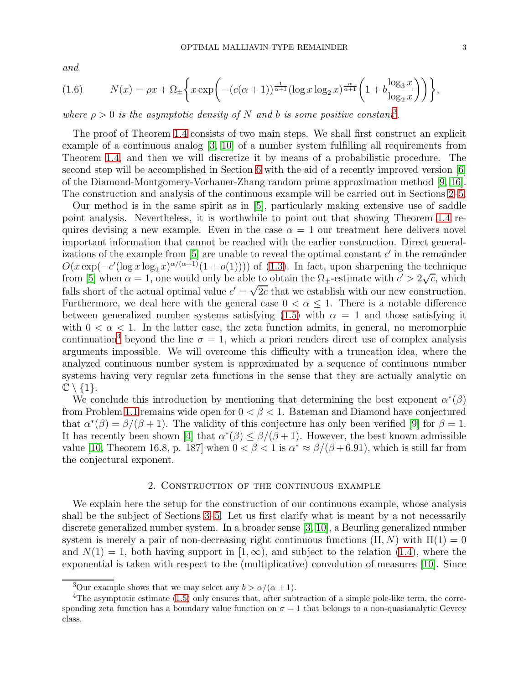and

<span id="page-2-3"></span>(1.6) 
$$
N(x) = \rho x + \Omega_{\pm} \left\{ x \exp \left( - (c(\alpha + 1))^{\frac{1}{\alpha + 1}} (\log x \log_2 x)^{\frac{\alpha}{\alpha + 1}} \left( 1 + b \frac{\log_3 x}{\log_2 x} \right) \right) \right\},
$$

where  $\rho > 0$  is the asymptotic density of N and b is some positive constant<sup>[3](#page-2-0)</sup>.

The proof of Theorem [1.4](#page-1-4) consists of two main steps. We shall first construct an explicit example of a continuous analog  $\vert 3, 10 \vert$  of a number system fulfilling all requirements from Theorem [1.4,](#page-1-4) and then we will discretize it by means of a probabilistic procedure. The second step will be accomplished in Section [6](#page-19-0) with the aid of a recently improved version [\[6\]](#page-24-11) of the Diamond-Montgomery-Vorhauer-Zhang random prime approximation method [\[9,](#page-24-4) [16\]](#page-24-5). The construction and analysis of the continuous example will be carried out in Sections [2–](#page-2-1)[5.](#page-17-0)

Our method is in the same spirit as in [\[5\]](#page-24-9), particularly making extensive use of saddle point analysis. Nevertheless, it is worthwhile to point out that showing Theorem [1.4](#page-1-4) requires devising a new example. Even in the case  $\alpha = 1$  our treatment here delivers novel important information that cannot be reached with the earlier construction. Direct generalizations of the example from  $[5]$  are unable to reveal the optimal constant  $c'$  in the remainder  $O(x \exp(-c'(\log x \log_2 x)^{\alpha/(\alpha+1)}(1 + o(1))))$  of [\(1.3\)](#page-1-2). In fact, upon sharpening the technique from [\[5\]](#page-24-9) when  $\alpha = 1$ , one would only be able to obtain the  $\Omega_{\pm}$ -estimate with  $c' > 2\sqrt{c}$ , which falls short of the actual optimal value  $c' = \sqrt{2c}$  that we establish with our new construction. Furthermore, we deal here with the general case  $0 < \alpha \leq 1$ . There is a notable difference between generalized number systems satisfying [\(1.5\)](#page-1-6) with  $\alpha = 1$  and those satisfying it with  $0 < \alpha < 1$ . In the latter case, the zeta function admits, in general, no meromorphic continuation<sup>[4](#page-2-2)</sup> beyond the line  $\sigma = 1$ , which a priori renders direct use of complex analysis arguments impossible. We will overcome this difficulty with a truncation idea, where the analyzed continuous number system is approximated by a sequence of continuous number systems having very regular zeta functions in the sense that they are actually analytic on  $\mathbb{C} \setminus \{1\}.$ 

We conclude this introduction by mentioning that determining the best exponent  $\alpha^*(\beta)$ from Problem [1.1](#page-0-3) remains wide open for  $0 < \beta < 1$ . Bateman and Diamond have conjectured that  $\alpha^*(\beta) = \beta/(\beta + 1)$ . The validity of this conjecture has only been verified [\[9\]](#page-24-4) for  $\beta = 1$ . It has recently been shown [\[4\]](#page-24-12) that  $\alpha^*(\beta) \leq \beta/(\beta+1)$ . However, the best known admissible value [\[10,](#page-24-2) Theorem 16.8, p. 187] when  $0 < \beta < 1$  is  $\alpha^* \approx \beta/(\beta + 6.91)$ , which is still far from the conjectural exponent.

### 2. Construction of the continuous example

<span id="page-2-1"></span>We explain here the setup for the construction of our continuous example, whose analysis shall be the subject of Sections [3–](#page-5-0)[5.](#page-17-0) Let us first clarify what is meant by a not necessarily discrete generalized number system. In a broader sense [\[3,](#page-24-1) [10\]](#page-24-2), a Beurling generalized number system is merely a pair of non-decreasing right continuous functions  $(\Pi, N)$  with  $\Pi(1) = 0$ and  $N(1) = 1$ , both having support in  $[1, \infty)$ , and subject to the relation [\(1.4\)](#page-1-7), where the exponential is taken with respect to the (multiplicative) convolution of measures [\[10\]](#page-24-2). Since

<span id="page-2-0"></span><sup>&</sup>lt;sup>3</sup>Our example shows that we may select any  $b > \alpha/(\alpha + 1)$ .

<span id="page-2-2"></span><sup>&</sup>lt;sup>4</sup>The asymptotic estimate  $(1.5)$  only ensures that, after subtraction of a simple pole-like term, the corresponding zeta function has a boundary value function on  $\sigma = 1$  that belongs to a non-quasianalytic Gevrey class.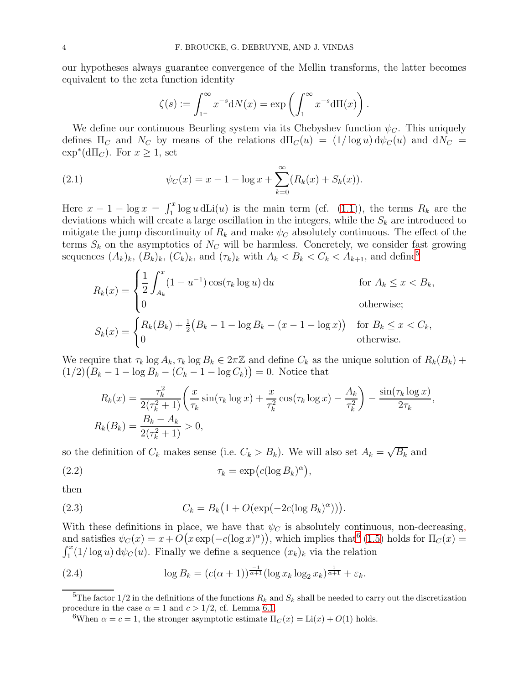our hypotheses always guarantee convergence of the Mellin transforms, the latter becomes equivalent to the zeta function identity

<span id="page-3-2"></span>
$$
\zeta(s) := \int_{1}^{\infty} x^{-s} dN(x) = \exp\left(\int_{1}^{\infty} x^{-s} d\Pi(x)\right).
$$

We define our continuous Beurling system via its Chebyshev function  $\psi_C$ . This uniquely defines  $\Pi_C$  and  $N_C$  by means of the relations  $d\Pi_C(u) = (1/\log u) d\psi_C(u)$  and  $dN_C =$  $\exp^*(d\Pi_C)$ . For  $x \geq 1$ , set

(2.1) 
$$
\psi_C(x) = x - 1 - \log x + \sum_{k=0}^{\infty} (R_k(x) + S_k(x)).
$$

Here  $x - 1 - \log x = \int_1^x \log u \, d\text{Li}(u)$  is the main term (cf. [\(1.1\)](#page-1-8)), the terms  $R_k$  are the deviations which will create a large oscillation in the integers, while the  $S_k$  are introduced to mitigate the jump discontinuity of  $R_k$  and make  $\psi_C$  absolutely continuous. The effect of the terms  $S_k$  on the asymptotics of  $N_C$  will be harmless. Concretely, we consider fast growing sequences  $(A_k)_k$ ,  $(B_k)_k$ ,  $(C_k)_k$ , and  $(\tau_k)_k$  with  $A_k < B_k < C_k < A_{k+1}$ , and define<sup>[5](#page-3-0)</sup>

$$
R_k(x) = \begin{cases} \frac{1}{2} \int_{A_k}^x (1 - u^{-1}) \cos(\tau_k \log u) du & \text{for } A_k \le x < B_k, \\ 0 & \text{otherwise;} \end{cases}
$$
\n
$$
S_k(x) = \begin{cases} R_k(B_k) + \frac{1}{2}(B_k - 1 - \log B_k - (x - 1 - \log x)) & \text{for } B_k \le x < C_k, \\ 0 & \text{otherwise.} \end{cases}
$$

We require that  $\tau_k \log A_k$ ,  $\tau_k \log B_k \in 2\pi \mathbb{Z}$  and define  $C_k$  as the unique solution of  $R_k(B_k)$  +  $(1/2)(B_k - 1 - \log B_k - (C_k - 1 - \log C_k)) = 0.$  Notice that

<span id="page-3-5"></span>
$$
R_k(x) = \frac{\tau_k^2}{2(\tau_k^2 + 1)} \left( \frac{x}{\tau_k} \sin(\tau_k \log x) + \frac{x}{\tau_k^2} \cos(\tau_k \log x) - \frac{A_k}{\tau_k^2} \right) - \frac{\sin(\tau_k \log x)}{2\tau_k},
$$
  

$$
R_k(B_k) = \frac{B_k - A_k}{2(\tau_k^2 + 1)} > 0,
$$

so the definition of  $C_k$  makes sense (i.e.  $C_k > B_k$ ). We will also set  $A_k = \sqrt{B_k}$  and

(2.2) 
$$
\tau_k = \exp\big(c(\log B_k)^\alpha\big),
$$

then

<span id="page-3-4"></span>(2.3) 
$$
C_k = B_k \left( 1 + O(\exp(-2c(\log B_k)^{\alpha})) \right).
$$

With these definitions in place, we have that  $\psi_C$  is absolutely continuous, non-decreasing, and satisfies  $\psi_C(x) = x + O(x \exp(-c(\log x)^\alpha))$ , which implies that<sup>[6](#page-3-1)</sup> [\(1.5\)](#page-1-6) holds for  $\Pi_C(x) =$  $\int_1^x (1/\log u) \, \mathrm{d}\psi_C(u)$ . Finally we define a sequence  $(x_k)_k$  via the relation

<span id="page-3-3"></span>(2.4) 
$$
\log B_k = (c(\alpha + 1))^{\frac{-1}{\alpha + 1}} (\log x_k \log_2 x_k)^{\frac{1}{\alpha + 1}} + \varepsilon_k.
$$

<sup>&</sup>lt;sup>5</sup>The factor 1/2 in the definitions of the functions  $R_k$  and  $S_k$  shall be needed to carry out the discretization procedure in the case  $\alpha = 1$  and  $c > 1/2$ , cf. Lemma [6.1.](#page-19-1)

<span id="page-3-1"></span><span id="page-3-0"></span><sup>&</sup>lt;sup>6</sup>When  $\alpha = c = 1$ , the stronger asymptotic estimate  $\Pi_C(x) = \text{Li}(x) + O(1)$  holds.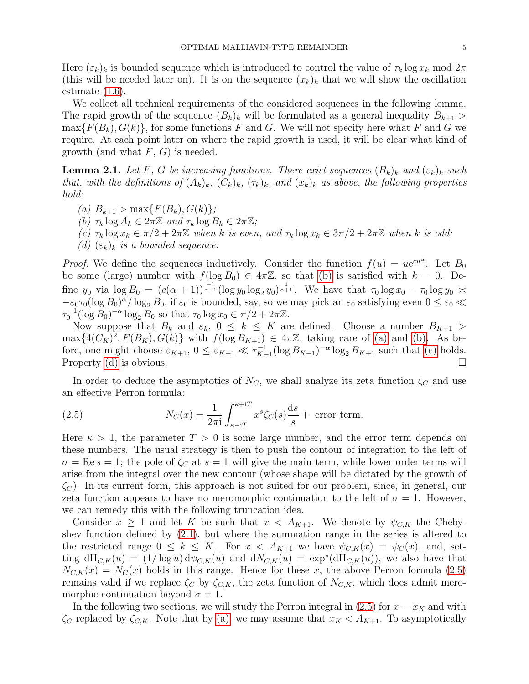Here  $(\varepsilon_k)_k$  is bounded sequence which is introduced to control the value of  $\tau_k \log x_k \mod 2\pi$ (this will be needed later on). It is on the sequence  $(x_k)_k$  that we will show the oscillation estimate [\(1.6\)](#page-2-3).

We collect all technical requirements of the considered sequences in the following lemma. The rapid growth of the sequence  $(B_k)_k$  will be formulated as a general inequality  $B_{k+1}$  >  $\max\{F(B_k), G(k)\}\$ , for some functions F and G. We will not specify here what F and G we require. At each point later on where the rapid growth is used, it will be clear what kind of growth (and what  $F, G$ ) is needed.

**Lemma 2.1.** Let F, G be increasing functions. There exist sequences  $(B_k)_k$  and  $(\varepsilon_k)_k$  such that, with the definitions of  $(A_k)_k$ ,  $(C_k)_k$ ,  $(\tau_k)_k$ , and  $(x_k)_k$  as above, the following properties hold:

- <span id="page-4-1"></span><span id="page-4-0"></span>(a)  $B_{k+1} > \max\{F(B_k), G(k)\};$
- <span id="page-4-2"></span>(b)  $\tau_k \log A_k \in 2\pi \mathbb{Z}$  and  $\tau_k \log B_k \in 2\pi \mathbb{Z}$ ;
- <span id="page-4-3"></span>(c)  $\tau_k \log x_k \in \pi/2 + 2\pi \mathbb{Z}$  when k is even, and  $\tau_k \log x_k \in 3\pi/2 + 2\pi \mathbb{Z}$  when k is odd;
- (d)  $(\varepsilon_k)_k$  is a bounded sequence.

*Proof.* We define the sequences inductively. Consider the function  $f(u) = ue^{cu^{\alpha}}$ . Let  $B_0$ be some (large) number with  $f(\log B_0) \in 4\pi\mathbb{Z}$ , so that [\(b\)](#page-4-0) is satisfied with  $k = 0$ . Define  $y_0$  via  $\log B_0 = (c(\alpha+1))^{\frac{1}{\alpha+1}} (\log y_0 \log_2 y_0)^{\frac{1}{\alpha+1}}$ . We have that  $\tau_0 \log x_0 - \tau_0 \log y_0 \approx$  $-\varepsilon_0\tau_0(\log B_0)^{\alpha}/\log_2 B_0$ , if  $\varepsilon_0$  is bounded, say, so we may pick an  $\varepsilon_0$  satisfying even  $0 \le \varepsilon_0 \ll$  $\tau_0^{-1}(\log B_0)^{-\alpha} \log_2 B_0$  so that  $\tau_0 \log x_0 \in \pi/2 + 2\pi \mathbb{Z}$ .

Now suppose that  $B_k$  and  $\varepsilon_k$ ,  $0 \leq k \leq K$  are defined. Choose a number  $B_{K+1}$  $\max\{4(C_K)^2, F(B_K), G(k)\}\$  with  $f(\log B_{K+1}) \in 4\pi\mathbb{Z}$ , taking care of [\(a\)](#page-4-1) and [\(b\).](#page-4-0) As before, one might choose  $\varepsilon_{K+1}$ ,  $0 \le \varepsilon_{K+1} \ll \tau_{K+1}^{-1} (\log B_{K+1})^{-\alpha} \log_2 B_{K+1}$  such that [\(c\)](#page-4-2) holds. Property [\(d\)](#page-4-3) is obvious.

In order to deduce the asymptotics of  $N_c$ , we shall analyze its zeta function  $\zeta_c$  and use an effective Perron formula:

<span id="page-4-4"></span>(2.5) 
$$
N_C(x) = \frac{1}{2\pi i} \int_{\kappa - iT}^{\kappa + iT} x^s \zeta_C(s) \frac{ds}{s} + \text{ error term.}
$$

Here  $\kappa > 1$ , the parameter  $T > 0$  is some large number, and the error term depends on these numbers. The usual strategy is then to push the contour of integration to the left of  $\sigma = \text{Re } s = 1$ ; the pole of  $\zeta_C$  at  $s = 1$  will give the main term, while lower order terms will arise from the integral over the new contour (whose shape will be dictated by the growth of  $\zeta_c$ ). In its current form, this approach is not suited for our problem, since, in general, our zeta function appears to have no meromorphic continuation to the left of  $\sigma = 1$ . However, we can remedy this with the following truncation idea.

Consider  $x \ge 1$  and let K be such that  $x < A_{K+1}$ . We denote by  $\psi_{C,K}$  the Chebyshev function defined by [\(2.1\)](#page-3-2), but where the summation range in the series is altered to the restricted range  $0 \leq k \leq K$ . For  $x < A_{K+1}$  we have  $\psi_{C,K}(x) = \psi_C(x)$ , and, setting  $d\Pi_{C,K}(u) = (1/\log u) d\psi_{C,K}(u)$  and  $dN_{C,K}(u) = \exp^*(d\Pi_{C,K}(u))$ , we also have that  $N_{C,K}(x) = N_C(x)$  holds in this range. Hence for these x, the above Perron formula [\(2.5\)](#page-4-4) remains valid if we replace  $\zeta_C$  by  $\zeta_{C,K}$ , the zeta function of  $N_{C,K}$ , which does admit meromorphic continuation beyond  $\sigma = 1$ .

In the following two sections, we will study the Perron integral in [\(2.5\)](#page-4-4) for  $x = x<sub>K</sub>$  and with  $\zeta_C$  replaced by  $\zeta_{C,K}$ . Note that by [\(a\),](#page-4-1) we may assume that  $x_K < A_{K+1}$ . To asymptotically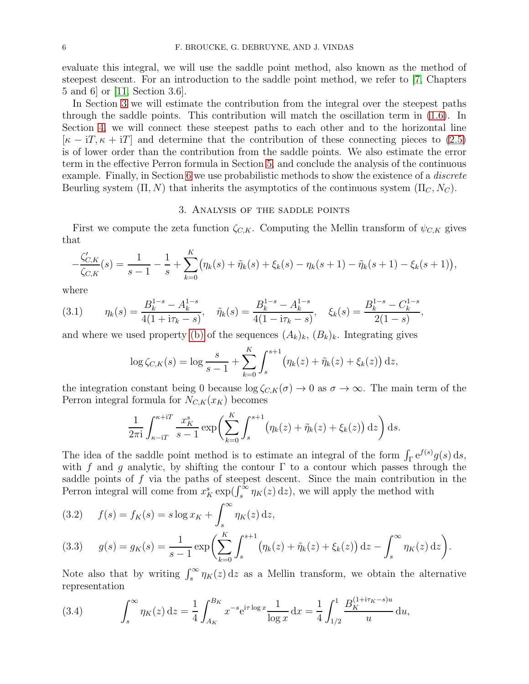evaluate this integral, we will use the saddle point method, also known as the method of steepest descent. For an introduction to the saddle point method, we refer to [\[7,](#page-24-13) Chapters 5 and 6] or [\[11,](#page-24-14) Section 3.6].

In Section [3](#page-5-0) we will estimate the contribution from the integral over the steepest paths through the saddle points. This contribution will match the oscillation term in [\(1.6\)](#page-2-3). In Section [4,](#page-14-0) we will connect these steepest paths to each other and to the horizontal line  $[\kappa - iT, \kappa + iT]$  and determine that the contribution of these connecting pieces to [\(2.5\)](#page-4-4) is of lower order than the contribution from the saddle points. We also estimate the error term in the effective Perron formula in Section [5,](#page-17-0) and conclude the analysis of the continuous example. Finally, in Section [6](#page-19-0) we use probabilistic methods to show the existence of a *discrete* Beurling system  $(\Pi, N)$  that inherits the asymptotics of the continuous system  $(\Pi_C, N_C)$ .

## 3. Analysis of the saddle points

<span id="page-5-0"></span>First we compute the zeta function  $\zeta_{C,K}$ . Computing the Mellin transform of  $\psi_{C,K}$  gives that

$$
-\frac{\zeta'_{C,K}}{\zeta_{C,K}}(s) = \frac{1}{s-1} - \frac{1}{s} + \sum_{k=0}^{K} (\eta_k(s) + \tilde{\eta}_k(s) + \xi_k(s) - \eta_k(s+1) - \tilde{\eta}_k(s+1) - \xi_k(s+1)),
$$

,

where

<span id="page-5-4"></span>(3.1) 
$$
\eta_k(s) = \frac{B_k^{1-s} - A_k^{1-s}}{4(1 + i\tau_k - s)}, \quad \tilde{\eta}_k(s) = \frac{B_k^{1-s} - A_k^{1-s}}{4(1 - i\tau_k - s)}, \quad \xi_k(s) = \frac{B_k^{1-s} - C_k^{1-s}}{2(1-s)}
$$

and where we used property [\(b\)](#page-4-0) of the sequences  $(A_k)_k$ ,  $(B_k)_k$ . Integrating gives

$$
\log \zeta_{C,K}(s) = \log \frac{s}{s-1} + \sum_{k=0}^{K} \int_{s}^{s+1} (\eta_k(z) + \tilde{\eta}_k(z) + \xi_k(z)) dz,
$$

the integration constant being 0 because  $\log \zeta_{C,K}(\sigma) \to 0$  as  $\sigma \to \infty$ . The main term of the Perron integral formula for  $N_{C,K}(x_K)$  becomes

$$
\frac{1}{2\pi i} \int_{\kappa - iT}^{\kappa + iT} \frac{x_K^s}{s - 1} \exp\left(\sum_{k=0}^K \int_s^{s+1} \left(\eta_k(z) + \tilde{\eta}_k(z) + \xi_k(z)\right) dz\right) ds.
$$

The idea of the saddle point method is to estimate an integral of the form  $\int_{\Gamma} e^{f(s)} g(s) ds$ , with f and g analytic, by shifting the contour  $\Gamma$  to a contour which passes through the saddle points of  $f$  via the paths of steepest descent. Since the main contribution in the Perron integral will come from  $x_K^s \exp(\int_s^{\infty} \eta_K(z) dz)$ , we will apply the method with

<span id="page-5-2"></span>(3.2) 
$$
f(s) = f_K(s) = s \log x_K + \int_s^{\infty} \eta_K(z) dz,
$$

<span id="page-5-3"></span>(3.3) 
$$
g(s) = g_K(s) = \frac{1}{s-1} \exp \left( \sum_{k=0}^K \int_s^{s+1} (\eta_k(z) + \tilde{\eta}_k(z) + \xi_k(z)) dz - \int_s^{\infty} \eta_K(z) dz \right).
$$

Note also that by writing  $\int_s^\infty \eta_K(z) dz$  as a Mellin transform, we obtain the alternative representation

<span id="page-5-1"></span>(3.4) 
$$
\int_{s}^{\infty} \eta_K(z) dz = \frac{1}{4} \int_{A_K}^{B_K} x^{-s} e^{i\tau \log x} \frac{1}{\log x} dx = \frac{1}{4} \int_{1/2}^{1} \frac{B_K^{(1+i\tau_K - s)u}}{u} du,
$$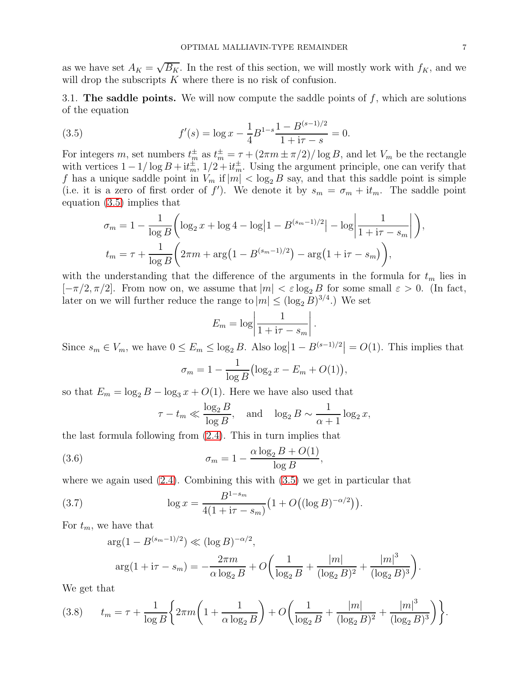as we have set  $A_K = \sqrt{B_K}$ . In the rest of this section, we will mostly work with  $f_K$ , and we will drop the subscripts K where there is no risk of confusion.

3.1. The saddle points. We will now compute the saddle points of  $f$ , which are solutions of the equation

(3.5) 
$$
f'(s) = \log x - \frac{1}{4} B^{1-s} \frac{1 - B^{(s-1)/2}}{1 + i\tau - s} = 0.
$$

For integers m, set numbers  $t_m^{\pm}$  as  $t_m^{\pm} = \tau + (2\pi m \pm \pi/2)/\log B$ , and let  $V_m$  be the rectangle with vertices  $1 - 1/\log B + i t_m^{\pm}$ ,  $1/2 + i t_m^{\pm}$ . Using the argument principle, one can verify that f has a unique saddle point in  $V_m$  if  $|m| < \log_2 B$  say, and that this saddle point is simple (i.e. it is a zero of first order of f'). We denote it by  $s_m = \sigma_m + i t_m$ . The saddle point equation [\(3.5\)](#page-6-0) implies that

<span id="page-6-0"></span>
$$
\sigma_m = 1 - \frac{1}{\log B} \left( \log_2 x + \log 4 - \log |1 - B^{(s_m - 1)/2}| - \log \left| \frac{1}{1 + i\tau - s_m} \right| \right),
$$
  

$$
t_m = \tau + \frac{1}{\log B} \left( 2\pi m + \arg \left( 1 - B^{(s_m - 1)/2} \right) - \arg \left( 1 + i\tau - s_m \right) \right),
$$

with the understanding that the difference of the arguments in the formula for  $t_m$  lies in  $[-\pi/2, \pi/2]$ . From now on, we assume that  $|m| < \varepsilon \log_2 B$  for some small  $\varepsilon > 0$ . (In fact, later on we will further reduce the range to  $|m| \leq (\log_2 B)^{3/4}$ .) We set

$$
E_m = \log \left| \frac{1}{1 + \mathrm{i}\tau - s_m} \right|.
$$

Since  $s_m \in V_m$ , we have  $0 \le E_m \le \log_2 B$ . Also  $\log |1 - B^{(s-1)/2}| = O(1)$ . This implies that

$$
\sigma_m = 1 - \frac{1}{\log B} \left( \log_2 x - E_m + O(1) \right),\,
$$

so that  $E_m = \log_2 B - \log_3 x + O(1)$ . Here we have also used that

<span id="page-6-1"></span>
$$
\tau - t_m \ll \frac{\log_2 B}{\log B}
$$
, and  $\log_2 B \sim \frac{1}{\alpha + 1} \log_2 x$ ,

the last formula following from [\(2.4\)](#page-3-3). This in turn implies that

(3.6) 
$$
\sigma_m = 1 - \frac{\alpha \log_2 B + O(1)}{\log B},
$$

where we again used  $(2.4)$ . Combining this with  $(3.5)$  we get in particular that

(3.7) 
$$
\log x = \frac{B^{1-s_m}}{4(1 + i\tau - s_m)} \left(1 + O((\log B)^{-\alpha/2})\right).
$$

For  $t_m$ , we have that

<span id="page-6-3"></span>
$$
\arg(1 - B^{(s_m - 1)/2}) \ll (\log B)^{-\alpha/2},
$$
  

$$
\arg(1 + i\tau - s_m) = -\frac{2\pi m}{\alpha \log_2 B} + O\left(\frac{1}{\log_2 B} + \frac{|m|}{(\log_2 B)^2} + \frac{|m|^3}{(\log_2 B)^3}\right).
$$

We get that

<span id="page-6-2"></span>
$$
(3.8) \t t_m = \tau + \frac{1}{\log B} \left\{ 2\pi m \left( 1 + \frac{1}{\alpha \log_2 B} \right) + O \left( \frac{1}{\log_2 B} + \frac{|m|}{(\log_2 B)^2} + \frac{|m|^3}{(\log_2 B)^3} \right) \right\}.
$$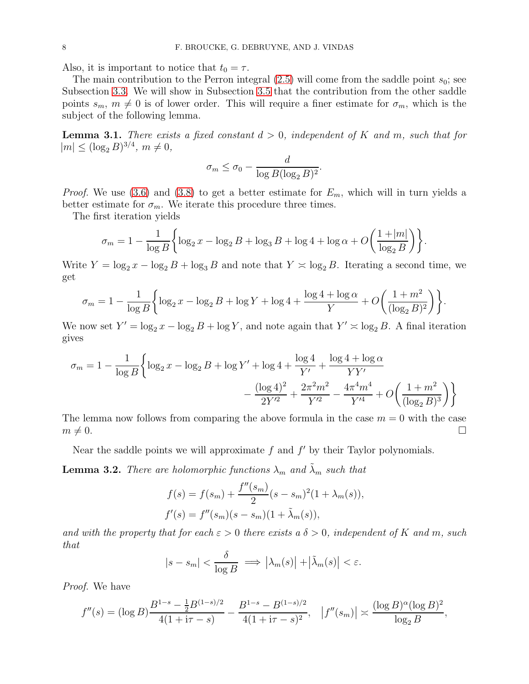Also, it is important to notice that  $t_0 = \tau$ .

The main contribution to the Perron integral  $(2.5)$  will come from the saddle point  $s_0$ ; see Subsection [3.3.](#page-10-0) We will show in Subsection [3.5](#page-14-1) that the contribution from the other saddle points  $s_m$ ,  $m \neq 0$  is of lower order. This will require a finer estimate for  $\sigma_m$ , which is the subject of the following lemma.

<span id="page-7-1"></span>**Lemma 3.1.** There exists a fixed constant  $d > 0$ , independent of K and m, such that for  $|m| \leq (\log_2 B)^{3/4}, m \neq 0,$ 

$$
\sigma_m \le \sigma_0 - \frac{d}{\log B(\log_2 B)^2}.
$$

*Proof.* We use [\(3.6\)](#page-6-1) and [\(3.8\)](#page-6-2) to get a better estimate for  $E_m$ , which will in turn yields a better estimate for  $\sigma_m$ . We iterate this procedure three times.

The first iteration yields

$$
\sigma_m = 1 - \frac{1}{\log B} \left\{ \log_2 x - \log_2 B + \log_3 B + \log 4 + \log \alpha + O\left(\frac{1 + |m|}{\log_2 B}\right) \right\}.
$$

Write  $Y = \log_2 x - \log_2 B + \log_3 B$  and note that  $Y \approx \log_2 B$ . Iterating a second time, we get

$$
\sigma_m = 1 - \frac{1}{\log B} \left\{ \log_2 x - \log_2 B + \log Y + \log 4 + \frac{\log 4 + \log \alpha}{Y} + O\left(\frac{1 + m^2}{(\log_2 B)^2}\right) \right\}.
$$

We now set  $Y' = \log_2 x - \log_2 B + \log Y$ , and note again that  $Y' \approx \log_2 B$ . A final iteration gives

$$
\sigma_m = 1 - \frac{1}{\log B} \left\{ \log_2 x - \log_2 B + \log Y' + \log 4 + \frac{\log 4}{Y'} + \frac{\log 4 + \log \alpha}{YY'} - \frac{(\log 4)^2}{2Y'^2} + \frac{2\pi^2 m^2}{Y'^2} - \frac{4\pi^4 m^4}{Y'^4} + O\left(\frac{1 + m^2}{(\log_2 B)^3}\right) \right\}
$$

The lemma now follows from comparing the above formula in the case  $m = 0$  with the case  $m \neq 0.$ 

Near the saddle points we will approximate  $f$  and  $f'$  by their Taylor polynomials.

<span id="page-7-0"></span>**Lemma 3.2.** There are holomorphic functions  $\lambda_m$  and  $\tilde{\lambda}_m$  such that

$$
f(s) = f(s_m) + \frac{f''(s_m)}{2}(s - s_m)^2(1 + \lambda_m(s)),
$$
  

$$
f'(s) = f''(s_m)(s - s_m)(1 + \tilde{\lambda}_m(s)),
$$

and with the property that for each  $\varepsilon > 0$  there exists a  $\delta > 0$ , independent of K and m, such that

$$
|s - s_m| < \frac{\delta}{\log B} \implies \left| \lambda_m(s) \right| + \left| \tilde{\lambda}_m(s) \right| < \varepsilon.
$$

Proof. We have

$$
f''(s) = (\log B) \frac{B^{1-s} - \frac{1}{2} B^{(1-s)/2}}{4(1 + i\tau - s)} - \frac{B^{1-s} - B^{(1-s)/2}}{4(1 + i\tau - s)^2}, \quad |f''(s_m)| \approx \frac{(\log B)^{\alpha} (\log B)^2}{\log_2 B},
$$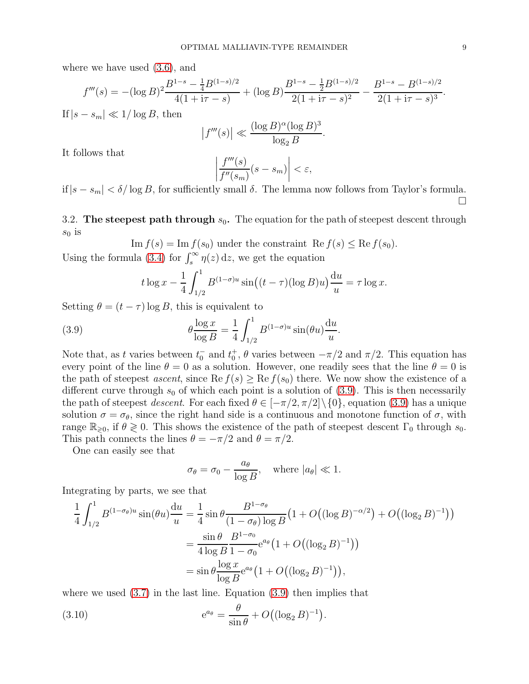where we have used [\(3.6\)](#page-6-1), and

$$
f'''(s) = -(\log B)^2 \frac{B^{1-s} - \frac{1}{4}B^{(1-s)/2}}{4(1 + i\tau - s)} + (\log B) \frac{B^{1-s} - \frac{1}{2}B^{(1-s)/2}}{2(1 + i\tau - s)^2} - \frac{B^{1-s} - B^{(1-s)/2}}{2(1 + i\tau - s)^3}.
$$
  
If  $|s - s_m| \ll 1/\log B$ , then  

$$
|f'''(s)| \ll \frac{(\log B)^{\alpha} (\log B)^3}{\log_2 B}.
$$

It follows that

$$
\left|\frac{f'''(s)}{f''(s_m)}(s-s_m)\right|<\varepsilon,
$$

if  $|s - s_m| < \delta/\log B$ , for sufficiently small  $\delta$ . The lemma now follows from Taylor's formula.  $\Box$ 

3.2. The steepest path through  $s_0$ . The equation for the path of steepest descent through  $s_0$  is

Im 
$$
f(s)
$$
 = Im  $f(s_0)$  under the constraint Re  $f(s) \leq Re f(s_0)$ .

Using the formula [\(3.4\)](#page-5-1) for  $\int_s^\infty \eta(z) dz$ , we get the equation

<span id="page-8-0"></span>
$$
t \log x - \frac{1}{4} \int_{1/2}^{1} B^{(1-\sigma)u} \sin((t-\tau)(\log B)u) \frac{du}{u} = \tau \log x.
$$

Setting  $\theta = (t - \tau) \log B$ , this is equivalent to

(3.9) 
$$
\theta \frac{\log x}{\log B} = \frac{1}{4} \int_{1/2}^{1} B^{(1-\sigma)u} \sin(\theta u) \frac{\mathrm{d}u}{u}.
$$

Note that, as t varies between  $t_0^-$  and  $t_0^+$ ,  $\theta$  varies between  $-\pi/2$  and  $\pi/2$ . This equation has every point of the line  $\theta = 0$  as a solution. However, one readily sees that the line  $\theta = 0$  is the path of steepest ascent, since  $\text{Re } f(s) \geq \text{Re } f(s_0)$  there. We now show the existence of a different curve through  $s_0$  of which each point is a solution of [\(3.9\)](#page-8-0). This is then necessarily the path of steepest *descent*. For each fixed  $\theta \in [-\pi/2, \pi/2] \setminus \{0\}$ , equation [\(3.9\)](#page-8-0) has a unique solution  $\sigma = \sigma_{\theta}$ , since the right hand side is a continuous and monotone function of  $\sigma$ , with range  $\mathbb{R}_{\geqslant 0}$ , if  $\theta \geqslant 0$ . This shows the existence of the path of steepest descent  $\Gamma_0$  through  $s_0$ . This path connects the lines  $\theta = -\pi/2$  and  $\theta = \pi/2$ .

One can easily see that

$$
\sigma_{\theta} = \sigma_0 - \frac{a_{\theta}}{\log B}, \quad \text{where } |a_{\theta}| \ll 1.
$$

Integrating by parts, we see that

$$
\frac{1}{4} \int_{1/2}^{1} B^{(1-\sigma_{\theta})u} \sin(\theta u) \frac{du}{u} = \frac{1}{4} \sin \theta \frac{B^{1-\sigma_{\theta}}}{(1-\sigma_{\theta}) \log B} \left(1 + O((\log B)^{-\alpha/2}) + O((\log_{2} B)^{-1})\right)
$$

$$
= \frac{\sin \theta}{4 \log B} \frac{B^{1-\sigma_{0}}}{1-\sigma_{0}} e^{a_{\theta}} \left(1 + O((\log_{2} B)^{-1})\right)
$$

$$
= \sin \theta \frac{\log x}{\log B} e^{a_{\theta}} \left(1 + O((\log_{2} B)^{-1})\right),
$$

where we used  $(3.7)$  in the last line. Equation  $(3.9)$  then implies that

<span id="page-8-1"></span>(3.10) 
$$
e^{a_{\theta}} = \frac{\theta}{\sin \theta} + O((\log_2 B)^{-1}).
$$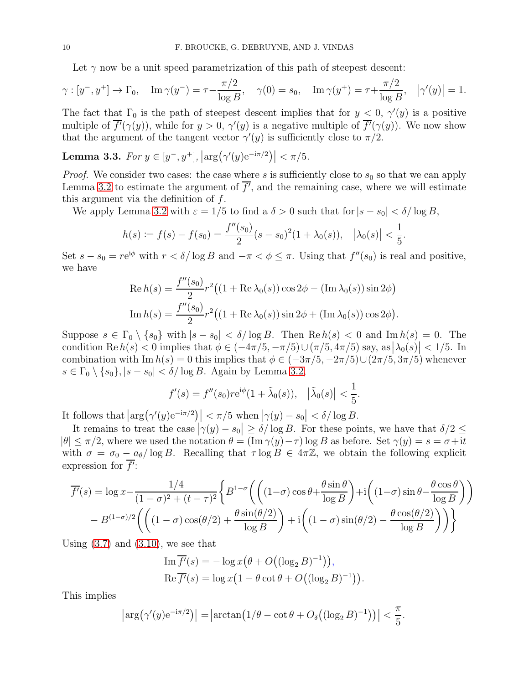Let  $\gamma$  now be a unit speed parametrization of this path of steepest descent:

$$
\gamma : [y^-, y^+] \to \Gamma_0
$$
,  $\text{Im } \gamma(y^-) = \tau - \frac{\pi/2}{\log B}$ ,  $\gamma(0) = s_0$ ,  $\text{Im } \gamma(y^+) = \tau + \frac{\pi/2}{\log B}$ ,  $|\gamma'(y)| = 1$ .

The fact that  $\Gamma_0$  is the path of steepest descent implies that for  $y < 0$ ,  $\gamma'(y)$  is a positive multiple of  $\overline{f'(\gamma(y))}$ , while for  $y > 0$ ,  $\gamma'(y)$  is a negative multiple of  $\overline{f'(\gamma(y))}$ . We now show that the argument of the tangent vector  $\gamma'(y)$  is sufficiently close to  $\pi/2$ .

<span id="page-9-0"></span>Lemma 3.3. For  $y \in [y^-, y^+]$ ,  $\left| \arg(\gamma'(y) e^{-i\pi/2}) \right| < \pi/5$ .

*Proof.* We consider two cases: the case where s is sufficiently close to  $s_0$  so that we can apply Lemma [3.2](#page-7-0) to estimate the argument of  $f'$ , and the remaining case, where we will estimate this argument via the definition of  $f$ .

We apply Lemma [3.2](#page-7-0) with  $\varepsilon = 1/5$  to find a  $\delta > 0$  such that for  $|s - s_0| < \delta / \log B$ ,

$$
h(s) := f(s) - f(s_0) = \frac{f''(s_0)}{2}(s - s_0)^2 (1 + \lambda_0(s)), \quad |\lambda_0(s)| < \frac{1}{5}.
$$

Set  $s - s_0 = re^{i\phi}$  with  $r < \delta/\log B$  and  $-\pi < \phi \leq \pi$ . Using that  $f''(s_0)$  is real and positive, we have

Re 
$$
h(s) = \frac{f''(s_0)}{2} r^2 ((1 + \text{Re }\lambda_0(s)) \cos 2\phi - (\text{Im }\lambda_0(s)) \sin 2\phi)
$$
  
\nIm  $h(s) = \frac{f''(s_0)}{2} r^2 ((1 + \text{Re }\lambda_0(s)) \sin 2\phi + (\text{Im }\lambda_0(s)) \cos 2\phi).$ 

Suppose  $s \in \Gamma_0 \setminus \{s_0\}$  with  $|s - s_0| < \delta/\log B$ . Then  $\text{Re } h(s) < 0$  and  $\text{Im } h(s) = 0$ . The condition Re  $h(s) < 0$  implies that  $\phi \in (-4\pi/5, -\pi/5) \cup (\pi/5, 4\pi/5)$  say, as  $|\lambda_0(s)| < 1/5$ . In combination with Im  $h(s) = 0$  this implies that  $\phi \in (-3\pi/5, -2\pi/5) \cup (2\pi/5, 3\pi/5)$  whenever  $s \in \Gamma_0 \setminus \{s_0\}, |s - s_0| < \delta/\log B$ . Again by Lemma [3.2,](#page-7-0)

$$
f'(s) = f''(s_0)re^{i\phi}(1 + \tilde{\lambda}_0(s)), |\tilde{\lambda}_0(s)| < \frac{1}{5}.
$$

It follows that  $\left|\arg(\gamma'(y)e^{-i\pi/2})\right| < \pi/5$  when  $|\gamma(y) - s_0| < \delta/\log B$ .

It remains to treat the case  $|\gamma(y) - s_0| \ge \delta / \log B$ . For these points, we have that  $\delta/2 \le$  $|\theta| \leq \pi/2$ , where we used the notation  $\theta = (\text{Im } \gamma(y) - \tau) \log B$  as before. Set  $\gamma(y) = s = \sigma + i t$ with  $\sigma = \sigma_0 - a_\theta / \log B$ . Recalling that  $\tau \log B \in 4\pi \mathbb{Z}$ , we obtain the following explicit expression for  $f$ :

$$
\overline{f'}(s) = \log x - \frac{1/4}{(1-\sigma)^2 + (t-\tau)^2} \left\{ B^{1-\sigma} \left( \left( (1-\sigma)\cos\theta + \frac{\theta\sin\theta}{\log B} \right) + i \left( (1-\sigma)\sin\theta - \frac{\theta\cos\theta}{\log B} \right) \right) - B^{(1-\sigma)/2} \left( \left( (1-\sigma)\cos(\theta/2) + \frac{\theta\sin(\theta/2)}{\log B} \right) + i \left( (1-\sigma)\sin(\theta/2) - \frac{\theta\cos(\theta/2)}{\log B} \right) \right) \right\}
$$

Using  $(3.7)$  and  $(3.10)$ , we see that

Im 
$$
\overline{f'}(s) = -\log x (\theta + O((\log_2 B)^{-1})),
$$
  
Re  $\overline{f'}(s) = \log x (1 - \theta \cot \theta + O((\log_2 B)^{-1}))$ 

 $\big).$ 

This implies

$$
\left|\arg\left(\gamma'(y)e^{-i\pi/2}\right)\right| = \left|\arctan\left(1/\theta - \cot\theta + O_{\delta}\left((\log_2 B)^{-1}\right)\right)\right| < \frac{\pi}{5}.
$$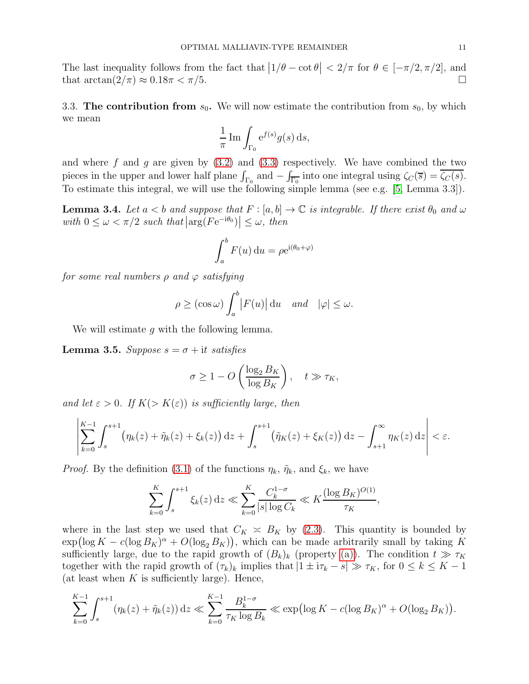The last inequality follows from the fact that  $\left|1/\theta - \cot \theta\right| < 2/\pi$  for  $\theta \in [-\pi/2, \pi/2]$ , and that  $\arctan(2/\pi) \approx 0.18\pi < \pi/5$ .

<span id="page-10-0"></span>3.3. The contribution from  $s_0$ . We will now estimate the contribution from  $s_0$ , by which we mean

$$
\frac{1}{\pi} \operatorname{Im} \int_{\Gamma_0} e^{f(s)} g(s) \, ds,
$$

and where f and g are given by  $(3.2)$  and  $(3.3)$  respectively. We have combined the two pieces in the upper and lower half plane  $\int_{\Gamma_0}$  and  $-\int_{\overline{\Gamma_0}}$  into one integral using  $\zeta_C(\overline{s}) = \zeta_C(s)$ . To estimate this integral, we will use the following simple lemma (see e.g. [\[5,](#page-24-9) Lemma 3.3]).

<span id="page-10-1"></span>**Lemma 3.4.** Let  $a < b$  and suppose that  $F : [a, b] \to \mathbb{C}$  is integrable. If there exist  $\theta_0$  and  $\omega$ with  $0 \leq \omega < \pi/2$  such that  $\left|\arg(F e^{-i\theta_0})\right| \leq \omega$ , then

$$
\int_a^b F(u) \, \mathrm{d}u = \rho e^{\mathrm{i}(\theta_0 + \varphi)}
$$

for some real numbers  $\rho$  and  $\varphi$  satisfying

$$
\rho \ge (\cos \omega) \int_a^b |F(u)| \, \mathrm{d}u \quad \text{and} \quad |\varphi| \le \omega.
$$

We will estimate q with the following lemma.

<span id="page-10-2"></span>**Lemma 3.5.** Suppose  $s = \sigma + it$  satisfies

$$
\sigma \ge 1 - O\left(\frac{\log_2 B_K}{\log B_K}\right), \quad t \gg \tau_K,
$$

and let  $\varepsilon > 0$ . If  $K(> K(\varepsilon))$  is sufficiently large, then

$$
\left|\sum_{k=0}^{K-1}\int_{s}^{s+1}\left(\eta_k(z)+\tilde{\eta}_k(z)+\xi_k(z)\right)\mathrm{d}z+\int_{s}^{s+1}\left(\tilde{\eta}_K(z)+\xi_K(z)\right)\mathrm{d}z-\int_{s+1}^{\infty}\eta_K(z)\,\mathrm{d}z\right|<\varepsilon.
$$

*Proof.* By the definition [\(3.1\)](#page-5-4) of the functions  $\eta_k$ ,  $\tilde{\eta}_k$ , and  $\xi_k$ , we have

$$
\sum_{k=0}^K \int_s^{s+1} \xi_k(z) \, dz \ll \sum_{k=0}^K \frac{C_k^{1-\sigma}}{|s| \log C_k} \ll K \frac{(\log B_K)^{O(1)}}{\tau_K},
$$

where in the last step we used that  $C_K \approx B_K$  by [\(2.3\)](#page-3-4). This quantity is bounded by  $\exp(\log K - c(\log B_K)^{\alpha} + O(\log_2 B_K)),$  which can be made arbitrarily small by taking K sufficiently large, due to the rapid growth of  $(B_k)_k$  (property [\(a\)\)](#page-4-1). The condition  $t \gg \tau_K$ together with the rapid growth of  $(\tau_k)_k$  implies that  $|1 \pm i\tau_k - s| \gg \tau_K$ , for  $0 \leq k \leq K - 1$ (at least when  $K$  is sufficiently large). Hence,

$$
\sum_{k=0}^{K-1} \int_s^{s+1} (\eta_k(z) + \tilde{\eta}_k(z)) dz \ll \sum_{k=0}^{K-1} \frac{B_k^{1-\sigma}}{\tau_K \log B_k} \ll \exp\left(\log K - c(\log B_K)^{\alpha} + O(\log_2 B_K)\right).
$$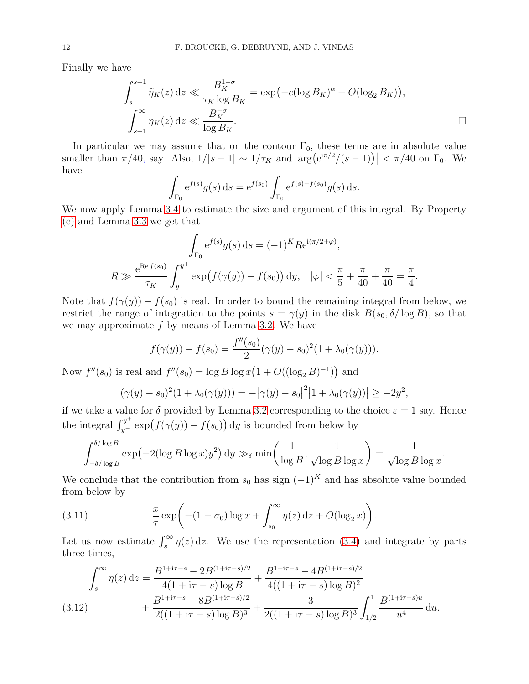Finally we have

$$
\int_{s}^{s+1} \tilde{\eta}_{K}(z) dz \ll \frac{B_{K}^{1-\sigma}}{\tau_{K} \log B_{K}} = \exp(-c(\log B_{K})^{\alpha} + O(\log_{2} B_{K})),
$$
  

$$
\int_{s+1}^{\infty} \eta_{K}(z) dz \ll \frac{B_{K}^{-\sigma}}{\log B_{K}}.
$$

.

In particular we may assume that on the contour  $\Gamma_0$ , these terms are in absolute value smaller than  $\pi/40$ , say. Also,  $1/|s-1| \sim 1/\tau_K$  and  $\left|\arg(e^{i\pi/2}/(s-1))\right| < \pi/40$  on  $\Gamma_0$ . We have

$$
\int_{\Gamma_0} e^{f(s)} g(s) ds = e^{f(s_0)} \int_{\Gamma_0} e^{f(s) - f(s_0)} g(s) ds.
$$

We now apply Lemma [3.4](#page-10-1) to estimate the size and argument of this integral. By Property [\(c\)](#page-4-2) and Lemma [3.3](#page-9-0) we get that

$$
\int_{\Gamma_0} e^{f(s)} g(s) ds = (-1)^K R e^{i(\pi/2 + \varphi)},
$$
  

$$
R \gg \frac{e^{R e f(s_0)}}{\tau_K} \int_{y^-}^{y^+} \exp(f(\gamma(y)) - f(s_0)) dy, \quad |\varphi| < \frac{\pi}{5} + \frac{\pi}{40} + \frac{\pi}{40} = \frac{\pi}{4}
$$

Note that  $f(\gamma(y)) - f(s_0)$  is real. In order to bound the remaining integral from below, we restrict the range of integration to the points  $s = \gamma(y)$  in the disk  $B(s_0, \delta/\log B)$ , so that we may approximate  $f$  by means of Lemma [3.2.](#page-7-0) We have

$$
f(\gamma(y)) - f(s_0) = \frac{f''(s_0)}{2} (\gamma(y) - s_0)^2 (1 + \lambda_0(\gamma(y))).
$$

Now  $f''(s_0)$  is real and  $f''(s_0) = \log B \log x (1 + O((\log_2 B)^{-1}))$  and

$$
(\gamma(y) - s_0)^2 (1 + \lambda_0(\gamma(y))) = -|\gamma(y) - s_0|^2 |1 + \lambda_0(\gamma(y))| \ge -2y^2,
$$

if we take a value for  $\delta$  provided by Lemma [3.2](#page-7-0) corresponding to the choice  $\varepsilon = 1$  say. Hence the integral  $\int_{y^-}^{y^+} \exp(f(\gamma(y)) - f(s_0)) dy$  is bounded from below by

$$
\int_{-\delta/\log B}^{\delta/\log B} \exp(-2(\log B \log x)y^2) dy \gg_{\delta} \min\left(\frac{1}{\log B}, \frac{1}{\sqrt{\log B \log x}}\right) = \frac{1}{\sqrt{\log B \log x}}.
$$

We conclude that the contribution from  $s_0$  has sign  $(-1)^K$  and has absolute value bounded from below by

<span id="page-11-1"></span>(3.11) 
$$
\frac{x}{\tau} \exp\bigg(-(1-\sigma_0)\log x + \int_{s_0}^{\infty} \eta(z) dz + O(\log_2 x)\bigg).
$$

Let us now estimate  $\int_s^{\infty} \eta(z) dz$ . We use the representation [\(3.4\)](#page-5-1) and integrate by parts three times,

<span id="page-11-0"></span>
$$
\int_{s}^{\infty} \eta(z) dz = \frac{B^{1+i\tau-s} - 2B^{(1+i\tau-s)/2}}{4(1+i\tau-s)\log B} + \frac{B^{1+i\tau-s} - 4B^{(1+i\tau-s)/2}}{4((1+i\tau-s)\log B)^2} + \frac{B^{1+i\tau-s} - 8B^{(1+i\tau-s)/2}}{2((1+i\tau-s)\log B)^3} + \frac{3}{2((1+i\tau-s)\log B)^3} \int_{1/2}^{1} \frac{B^{(1+i\tau-s)u}}{u^4} du.
$$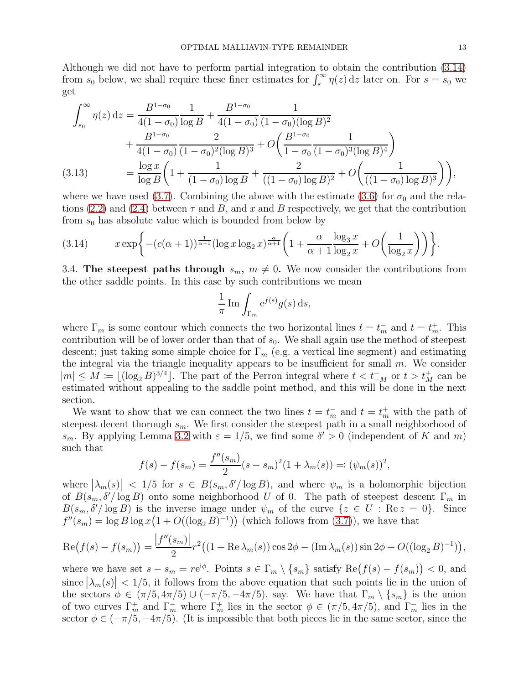Although we did not have to perform partial integration to obtain the contribution [\(3.14\)](#page-12-0) from  $s_0$  below, we shall require these finer estimates for  $\int_s^{\infty} \eta(z) dz$  later on. For  $s = s_0$  we get

$$
\int_{s_0}^{\infty} \eta(z) dz = \frac{B^{1-\sigma_0}}{4(1-\sigma_0)} \frac{1}{\log B} + \frac{B^{1-\sigma_0}}{4(1-\sigma_0)} \frac{1}{(1-\sigma_0)(\log B)^2} \n+ \frac{B^{1-\sigma_0}}{4(1-\sigma_0)} \frac{2}{(1-\sigma_0)^2(\log B)^3} + O\left(\frac{B^{1-\sigma_0}}{1-\sigma_0} \frac{1}{(1-\sigma_0)^3(\log B)^4}\right) \n= \frac{\log x}{\log B} \left(1 + \frac{1}{(1-\sigma_0)\log B} + \frac{2}{((1-\sigma_0)\log B)^2} + O\left(\frac{1}{((1-\sigma_0)\log B)^3}\right)\right),
$$

<span id="page-12-1"></span>where we have used [\(3.7\)](#page-6-3). Combining the above with the estimate [\(3.6\)](#page-6-1) for  $\sigma_0$  and the rela-tions [\(2.2\)](#page-3-5) and [\(2.4\)](#page-3-3) between  $\tau$  and  $B$ , and  $x$  and  $B$  respectively, we get that the contribution from  $s_0$  has absolute value which is bounded from below by

<span id="page-12-0"></span>(3.14) 
$$
x \exp\bigg\{-(c(\alpha+1))^{\frac{1}{\alpha+1}}(\log x \log_2 x)^{\frac{\alpha}{\alpha+1}}\bigg(1+\frac{\alpha}{\alpha+1}\frac{\log_3 x}{\log_2 x}+O\bigg(\frac{1}{\log_2 x}\bigg)\bigg)\bigg\}.
$$

3.4. The steepest paths through  $s_m$ ,  $m \neq 0$ . We now consider the contributions from the other saddle points. In this case by such contributions we mean

$$
\frac{1}{\pi} \operatorname{Im} \int_{\Gamma_m} e^{f(s)} g(s) \, ds,
$$

where  $\Gamma_m$  is some contour which connects the two horizontal lines  $t = t_m^-$  and  $t = t_m^+$ . This contribution will be of lower order than that of  $s_0$ . We shall again use the method of steepest descent; just taking some simple choice for  $\Gamma_m$  (e.g. a vertical line segment) and estimating the integral via the triangle inequality appears to be insufficient for small  $m$ . We consider  $|m|$  ≤  $M := \lfloor (\log_2 B)^{3/4} \rfloor$ . The part of the Perron integral where  $t < t_M^-$  or  $t > t_M^+$  can be estimated without appealing to the saddle point method, and this will be done in the next section.

We want to show that we can connect the two lines  $t = t_m^-$  and  $t = t_m^+$  with the path of steepest decent thorough  $s_m$ . We first consider the steepest path in a small neighborhood of s<sub>m</sub>. By applying Lemma [3.2](#page-7-0) with  $\varepsilon = 1/5$ , we find some  $\delta' > 0$  (independent of K and m) such that  $\overline{u}$ 

$$
f(s) - f(s_m) = \frac{f''(s_m)}{2}(s - s_m)^2(1 + \lambda_m(s)) =: (\psi_m(s))^2,
$$

where  $|\lambda_m(s)| < 1/5$  for  $s \in B(s_m, \delta'/\log B)$ , and where  $\psi_m$  is a holomorphic bijection of  $B(s_m, \delta'/\log B)$  onto some neighborhood U of 0. The path of steepest descent  $\Gamma_m$  in  $B(s_m, \delta' / \log B)$  is the inverse image under  $\psi_m$  of the curve  $\{z \in U : \text{Re } z = 0\}$ . Since  $f''(s_m) = \log B \log x (1 + O((\log_2 B)^{-1}))$  (which follows from [\(3.7\)](#page-6-3)), we have that

$$
\operatorname{Re}(f(s) - f(s_m)) = \frac{|f''(s_m)|}{2} r^2 \big( (1 + \operatorname{Re} \lambda_m(s)) \cos 2\phi - (\operatorname{Im} \lambda_m(s)) \sin 2\phi + O((\log_2 B)^{-1}) \big),
$$

where we have set  $s - s_m = re^{i\phi}$ . Points  $s \in \Gamma_m \setminus \{s_m\}$  satisfy  $\text{Re}(f(s) - f(s_m)) < 0$ , and since  $|\lambda_m(s)| < 1/5$ , it follows from the above equation that such points lie in the union of the sectors  $\phi \in (\pi/5, 4\pi/5) \cup (-\pi/5, -4\pi/5)$ , say. We have that  $\Gamma_m \setminus \{s_m\}$  is the union of two curves  $\Gamma_m^+$  and  $\Gamma_m^-$  where  $\Gamma_m^+$  lies in the sector  $\phi \in (\pi/5, 4\pi/5)$ , and  $\Gamma_m^-$  lies in the sector  $\phi \in (-\pi/5, -4\pi/5)$ . (It is impossible that both pieces lie in the same sector, since the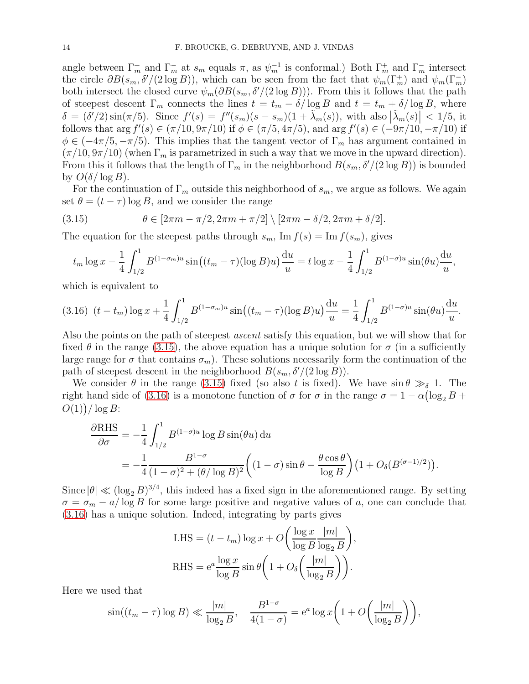angle between  $\Gamma_m^+$  and  $\Gamma_m^-$  at  $s_m$  equals  $\pi$ , as  $\psi_m^{-1}$  is conformal.) Both  $\Gamma_m^+$  and  $\Gamma_m^-$  intersect the circle  $\partial B(s_m, \delta'/(2 \log B))$ , which can be seen from the fact that  $\psi_m(\Gamma_m^+)$  and  $\psi_m(\Gamma_m^-)$ both intersect the closed curve  $\psi_m(\partial B(s_m, \delta'/(2 \log B)))$ . From this it follows that the path of steepest descent  $\Gamma_m$  connects the lines  $t = t_m - \delta/\log B$  and  $t = t_m + \delta/\log B$ , where  $\delta = (\delta'/2) \sin(\pi/5)$ . Since  $f'(s) = f''(s_m)(s - s_m)(1 + \tilde{\lambda}_m(s))$ , with also  $|\tilde{\lambda}_m(s)| < 1/5$ , it follows that  $\arg f'(s) \in (\pi/10, 9\pi/10)$  if  $\phi \in (\pi/5, 4\pi/5)$ , and  $\arg f'(s) \in (-9\pi/10, -\pi/10)$  if  $\phi \in (-4\pi/5, -\pi/5)$ . This implies that the tangent vector of  $\Gamma_m$  has argument contained in  $(\pi/10, 9\pi/10)$  (when  $\Gamma_m$  is parametrized in such a way that we move in the upward direction). From this it follows that the length of  $\Gamma_m$  in the neighborhood  $B(s_m, \delta'/(2 \log B))$  is bounded by  $O(\delta/\log B)$ .

For the continuation of  $\Gamma_m$  outside this neighborhood of  $s_m$ , we argue as follows. We again set  $\theta = (t - \tau) \log B$ , and we consider the range

(3.15) 
$$
\theta \in [2\pi m - \pi/2, 2\pi m + \pi/2] \setminus [2\pi m - \delta/2, 2\pi m + \delta/2].
$$

The equation for the steepest paths through  $s_m$ , Im  $f(s) = \text{Im } f(s_m)$ , gives

<span id="page-13-0"></span>
$$
t_m \log x - \frac{1}{4} \int_{1/2}^1 B^{(1-\sigma_m)u} \sin\left((t_m - \tau)(\log B)u\right) \frac{du}{u} = t \log x - \frac{1}{4} \int_{1/2}^1 B^{(1-\sigma)u} \sin(\theta u) \frac{du}{u},
$$

which is equivalent to

<span id="page-13-1"></span>
$$
(3.16)\ \ (t - t_m) \log x + \frac{1}{4} \int_{1/2}^1 B^{(1-\sigma_m)u} \sin\left((t_m - \tau)(\log B)u\right) \frac{du}{u} = \frac{1}{4} \int_{1/2}^1 B^{(1-\sigma)u} \sin(\theta u) \frac{du}{u}.
$$

Also the points on the path of steepest *ascent* satisfy this equation, but we will show that for fixed  $\theta$  in the range [\(3.15\)](#page-13-0), the above equation has a unique solution for  $\sigma$  (in a sufficiently large range for  $\sigma$  that contains  $\sigma_m$ ). These solutions necessarily form the continuation of the path of steepest descent in the neighborhood  $B(s_m, \delta'/(2 \log B)).$ 

We consider  $\theta$  in the range [\(3.15\)](#page-13-0) fixed (so also t is fixed). We have  $\sin \theta \gg_{\delta} 1$ . The right hand side of [\(3.16\)](#page-13-1) is a monotone function of  $\sigma$  for  $\sigma$  in the range  $\sigma = 1 - \alpha(\log_2 B + \log_2 B)$  $O(1)$ ) / log B:

$$
\frac{\partial \text{RHS}}{\partial \sigma} = -\frac{1}{4} \int_{1/2}^{1} B^{(1-\sigma)u} \log B \sin(\theta u) \, \mathrm{d}u
$$
  
= 
$$
-\frac{1}{4} \frac{B^{1-\sigma}}{(1-\sigma)^2 + (\theta/\log B)^2} \bigg( (1-\sigma) \sin \theta - \frac{\theta \cos \theta}{\log B} \bigg) (1 + O_\delta(B^{(\sigma-1)/2})).
$$

Since  $|\theta| \ll (\log_2 B)^{3/4}$ , this indeed has a fixed sign in the aforementioned range. By setting  $\sigma = \sigma_m - a/\log B$  for some large positive and negative values of a, one can conclude that [\(3.16\)](#page-13-1) has a unique solution. Indeed, integrating by parts gives

LHS = 
$$
(t - t_m) \log x + O\left(\frac{\log x}{\log B} \frac{|m|}{\log B}\right)
$$
,  
RHS =  $e^a \frac{\log x}{\log B} \sin \theta \left(1 + O_\delta\left(\frac{|m|}{\log_2 B}\right)\right)$ .

Here we used that

$$
\sin((t_m - \tau) \log B) \ll \frac{|m|}{\log_2 B}, \quad \frac{B^{1-\sigma}}{4(1-\sigma)} = e^a \log x \left( 1 + O\left(\frac{|m|}{\log_2 B}\right) \right),
$$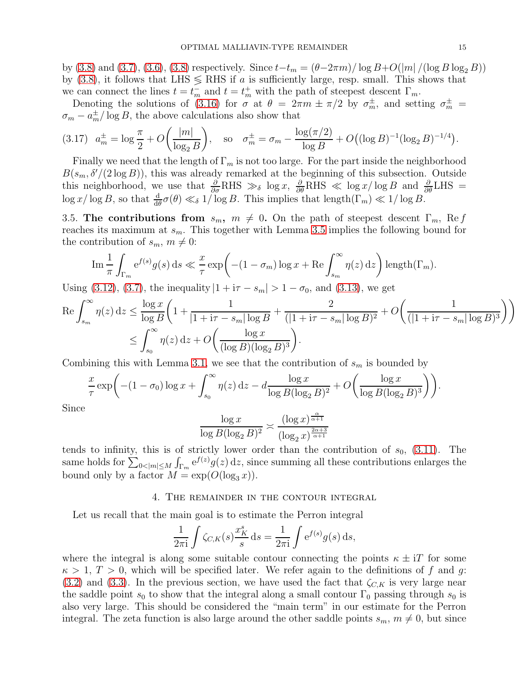by [\(3.8\)](#page-6-2) and [\(3.7\)](#page-6-3), [\(3.6\)](#page-6-1), (3.8) respectively. Since  $t-t_m = (\theta - 2\pi m)/\log B + O(|m|/(\log B \log_2 B))$ by [\(3.8\)](#page-6-2), it follows that LHS  $\leq$  RHS if a is sufficiently large, resp. small. This shows that we can connect the lines  $t = t_m^-$  and  $t = t_m^+$  with the path of steepest descent  $\Gamma_m$ .

Denoting the solutions of [\(3.16\)](#page-13-1) for  $\sigma$  at  $\theta = 2\pi m \pm \pi/2$  by  $\sigma_m^{\pm}$ , and setting  $\sigma_m^{\pm}$  $\sigma_m - a_m^{\pm}/\log B$ , the above calculations also show that

<span id="page-14-2"></span>
$$
(3.17) \quad a_m^{\pm} = \log \frac{\pi}{2} + O\left(\frac{|m|}{\log_2 B}\right), \quad \text{so} \quad \sigma_m^{\pm} = \sigma_m - \frac{\log(\pi/2)}{\log B} + O\left((\log B)^{-1}(\log_2 B)^{-1/4}\right).
$$

Finally we need that the length of  $\Gamma_m$  is not too large. For the part inside the neighborhood  $B(s_m, \delta'/(2 \log B))$ , this was already remarked at the beginning of this subsection. Outside this neighborhood, we use that  $\frac{\partial}{\partial \sigma}$ RHS  $\gg_{\delta}$  log x,  $\frac{\partial}{\partial \theta}$ RHS  $\ll \log x/\log B$  and  $\frac{\partial}{\partial \theta}$ LHS =  $\log x/\log B$ , so that  $\frac{d}{d\theta}\sigma(\theta) \ll_{\delta} 1/\log B$ . This implies that  $\text{length}(\Gamma_m) \ll 1/\log B$ .

<span id="page-14-1"></span>3.5. The contributions from  $s_m$ ,  $m \neq 0$ . On the path of steepest descent  $\Gamma_m$ , Re f reaches its maximum at  $s_m$ . This together with Lemma [3.5](#page-10-2) implies the following bound for the contribution of  $s_m$ ,  $m \neq 0$ :

$$
\operatorname{Im} \frac{1}{\pi} \int_{\Gamma_m} e^{f(s)} g(s) ds \ll \frac{x}{\tau} \exp \left( -(1 - \sigma_m) \log x + \operatorname{Re} \int_{s_m}^{\infty} \eta(z) dz \right) \operatorname{length}(\Gamma_m).
$$

Using [\(3.12\)](#page-11-0), [\(3.7\)](#page-6-3), the inequality  $|1 + i\tau - s_m| > 1 - \sigma_0$ , and [\(3.13\)](#page-12-1), we get

$$
\operatorname{Re} \int_{s_m}^{\infty} \eta(z) \, dz \le \frac{\log x}{\log B} \left( 1 + \frac{1}{|1 + i\tau - s_m| \log B} + \frac{2}{(|1 + i\tau - s_m| \log B)^2} + O\left(\frac{1}{(|1 + i\tau - s_m| \log B)^3}\right) \right) \le \int_{s_0}^{\infty} \eta(z) \, dz + O\left(\frac{\log x}{(\log B)(\log_2 B)^3}\right).
$$

Combining this with Lemma [3.1,](#page-7-1) we see that the contribution of  $s_m$  is bounded by

$$
\frac{x}{\tau} \exp\bigg(-(1-\sigma_0)\log x + \int_{s_0}^{\infty} \eta(z) dz - d \frac{\log x}{\log B(\log_2 B)^2} + O\bigg(\frac{\log x}{\log B(\log_2 B)^3}\bigg)\bigg).
$$

Since

$$
\frac{\log x}{\log B (\log_2 B)^2} \asymp \frac{(\log x)^{\frac{\alpha}{\alpha+1}}}{(\log_2 x)^{\frac{2\alpha+3}{\alpha+1}}}
$$

tends to infinity, this is of strictly lower order than the contribution of  $s_0$ , [\(3.11\)](#page-11-1). The same holds for  $\sum_{0<|m|\leq M} \int_{\Gamma_m} e^{f(z)}g(z) dz$ , since summing all these contributions enlarges the bound only by a factor  $M = \exp(O(\log_3 x))$ .

4. The remainder in the contour integral

<span id="page-14-0"></span>Let us recall that the main goal is to estimate the Perron integral

$$
\frac{1}{2\pi i} \int \zeta_{C,K}(s) \frac{x_K^s}{s} ds = \frac{1}{2\pi i} \int e^{f(s)} g(s) ds,
$$

where the integral is along some suitable contour connecting the points  $\kappa \pm iT$  for some  $\kappa > 1, T > 0$ , which will be specified later. We refer again to the definitions of f and g: [\(3.2\)](#page-5-2) and [\(3.3\)](#page-5-3). In the previous section, we have used the fact that  $\zeta_{C,K}$  is very large near the saddle point  $s_0$  to show that the integral along a small contour  $\Gamma_0$  passing through  $s_0$  is also very large. This should be considered the "main term" in our estimate for the Perron integral. The zeta function is also large around the other saddle points  $s_m$ ,  $m \neq 0$ , but since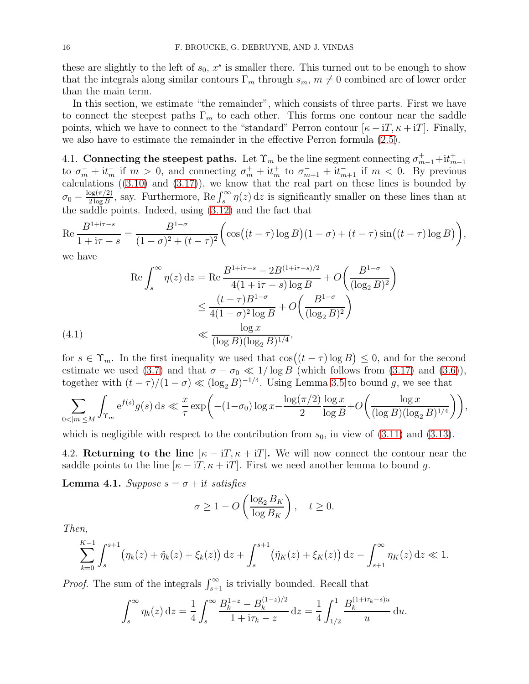these are slightly to the left of  $s_0$ ,  $x^s$  is smaller there. This turned out to be enough to show that the integrals along similar contours  $\Gamma_m$  through  $s_m$ ,  $m \neq 0$  combined are of lower order than the main term.

In this section, we estimate "the remainder", which consists of three parts. First we have to connect the steepest paths  $\Gamma_m$  to each other. This forms one contour near the saddle points, which we have to connect to the "standard" Perron contour  $[\kappa - i T, \kappa + i T]$ . Finally, we also have to estimate the remainder in the effective Perron formula [\(2.5\)](#page-4-4).

4.1. Connecting the steepest paths. Let  $\Upsilon_m$  be the line segment connecting  $\sigma_{m-1}^+ + i t_{m-1}^+$ to  $\sigma_m^- + i t_m^-$  if  $m > 0$ , and connecting  $\sigma_m^+ + i t_m^+$  to  $\sigma_{m+1}^- + i t_{m+1}^-$  if  $m < 0$ . By previous calculations ([\(3.10\)](#page-8-1) and [\(3.17\)](#page-14-2)), we know that the real part on these lines is bounded by  $\sigma_0 - \frac{\log(\pi/2)}{2\log B}$  $\frac{\log(\pi/2)}{2\log B}$ , say. Furthermore, Re  $\int_s^{\infty} \eta(z) dz$  is significantly smaller on these lines than at the saddle points. Indeed, using [\(3.12\)](#page-11-0) and the fact that

$$
\operatorname{Re}\frac{B^{1+i\tau-s}}{1+i\tau-s} = \frac{B^{1-\sigma}}{(1-\sigma)^2 + (t-\tau)^2} \bigg( \cos\big((t-\tau)\log B\big)(1-\sigma) + (t-\tau)\sin\big((t-\tau)\log B\big) \bigg),
$$

we have

(4.1)  
\n
$$
\operatorname{Re} \int_{s}^{\infty} \eta(z) dz = \operatorname{Re} \frac{B^{1+i\tau-s} - 2B^{(1+i\tau-s)/2}}{4(1+i\tau-s) \log B} + O\left(\frac{B^{1-\sigma}}{(\log_{2} B)^{2}}\right)
$$
\n
$$
\leq \frac{(t-\tau)B^{1-\sigma}}{4(1-\sigma)^{2} \log B} + O\left(\frac{B^{1-\sigma}}{(\log_{2} B)^{2}}\right)
$$
\n
$$
\ll \frac{\log x}{(\log B)(\log_{2} B)^{1/4}},
$$

<span id="page-15-1"></span>for  $s \in \Upsilon_m$ . In the first inequality we used that  $\cos((t - \tau) \log B) \leq 0$ , and for the second estimate we used [\(3.7\)](#page-6-3) and that  $\sigma - \sigma_0 \ll 1/\log B$  (which follows from [\(3.17\)](#page-14-2) and [\(3.6\)](#page-6-1)), together with  $(t - \tau)/(1 - \sigma) \ll (\log_2 B)^{-1/4}$ . Using Lemma [3.5](#page-10-2) to bound g, we see that

$$
\sum_{0<|m|\leq M}\int_{\Upsilon_m} e^{f(s)}g(s)\,ds\ll \frac{x}{\tau}\exp\biggl(-(1-\sigma_0)\log x-\frac{\log(\pi/2)}{2}\frac{\log x}{\log B}+O\biggl(\frac{\log x}{(\log B)(\log_2 B)^{1/4}}\biggr)\biggr),
$$

which is negligible with respect to the contribution from  $s_0$ , in view of  $(3.11)$  and  $(3.13)$ .

4.2. Returning to the line  $[\kappa - i T, \kappa + i T]$ . We will now connect the contour near the saddle points to the line  $[\kappa - iT, \kappa + iT]$ . First we need another lemma to bound g.

<span id="page-15-0"></span>**Lemma 4.1.** Suppose  $s = \sigma + it$  satisfies

$$
\sigma \ge 1 - O\left(\frac{\log_2 B_K}{\log B_K}\right), \quad t \ge 0.
$$

Then,

$$
\sum_{k=0}^{K-1} \int_s^{s+1} \left( \eta_k(z) + \tilde{\eta}_k(z) + \xi_k(z) \right) dz + \int_s^{s+1} \left( \tilde{\eta}_K(z) + \xi_K(z) \right) dz - \int_{s+1}^{\infty} \eta_K(z) dz \ll 1.
$$

*Proof.* The sum of the integrals  $\int_{s+1}^{\infty}$  is trivially bounded. Recall that

$$
\int_s^{\infty} \eta_k(z) dz = \frac{1}{4} \int_s^{\infty} \frac{B_k^{1-z} - B_k^{(1-z)/2}}{1 + i\tau_k - z} dz = \frac{1}{4} \int_{1/2}^1 \frac{B_k^{(1+i\tau_k - s)u}}{u} du.
$$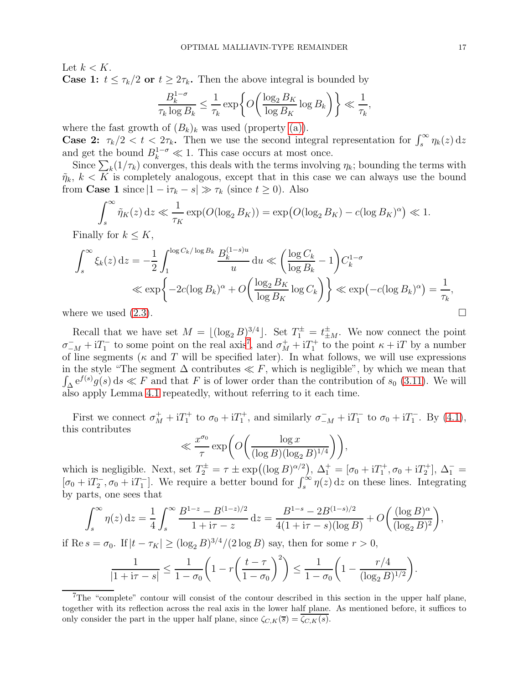Let  $k < K$ . **Case 1:**  $t \leq \tau_k/2$  or  $t \geq 2\tau_k$ . Then the above integral is bounded by

$$
\frac{B_k^{1-\sigma}}{\tau_k \log B_k} \le \frac{1}{\tau_k} \exp\bigg\{O\bigg(\frac{\log_2 B_K}{\log B_K} \log B_k\bigg)\bigg\} \ll \frac{1}{\tau_k},
$$

where the fast growth of  $(B_k)_k$  was used (property [\(a\)\)](#page-4-1).

**Case 2:**  $\tau_k/2 < t < 2\tau_k$ . Then we use the second integral representation for  $\int_s^{\infty} \eta_k(z) dz$ and get the bound  $B_k^{1-\sigma} \ll 1$ . This case occurs at most once.

Since  $\sum_{k} (1/\tau_k)$  converges, this deals with the terms involving  $\eta_k$ ; bounding the terms with  $\tilde{\eta}_k, k \leq K$  is completely analogous, except that in this case we can always use the bound from **Case 1** since  $|1 - i\tau_k - s| \gg \tau_k$  (since  $t \ge 0$ ). Also

$$
\int_s^{\infty} \tilde{\eta}_K(z) dz \ll \frac{1}{\tau_K} \exp(O(\log_2 B_K)) = \exp\big(O(\log_2 B_K) - c(\log B_K)^{\alpha}\big) \ll 1.
$$

Finally for  $k \leq K$ ,

$$
\int_{s}^{\infty} \xi_{k}(z) dz = -\frac{1}{2} \int_{1}^{\log C_{k}/\log B_{k}} \frac{B_{k}^{(1-s)u}}{u} du \ll \left( \frac{\log C_{k}}{\log B_{k}} - 1 \right) C_{k}^{1-\sigma}
$$
  

$$
\ll \exp \left\{ -2c(\log B_{k})^{\alpha} + O\left( \frac{\log_{2} B_{K}}{\log B_{K}} \log C_{k} \right) \right\} \ll \exp \left( -c(\log B_{k})^{\alpha} \right) = \frac{1}{\tau_{k}},
$$

where we used  $(2.3)$ .

Recall that we have set  $M = \lfloor (\log_2 B)^{3/4} \rfloor$ . Set  $T_1^{\pm} = t_{\pm M}^{\pm}$ . We now connect the point  $\sigma_{-M}^- + iT_1^-$  to some point on the real axis<sup>[7](#page-16-0)</sup>, and  $\sigma_M^+ + iT_1^+$  to the point  $\kappa + iT$  by a number of line segments ( $\kappa$  and T will be specified later). In what follows, we will use expressions in the style "The segment  $\Delta$  contributes  $\ll F$ , which is negligible", by which we mean that  $\int_{\Delta} e^{f(s)} g(s) ds \ll F$  and that F is of lower order than the contribution of  $s_0$  [\(3.11\)](#page-11-1). We will also apply Lemma [4.1](#page-15-0) repeatedly, without referring to it each time.

First we connect  $\sigma_M^+ + iT_1^+$  to  $\sigma_0 + iT_1^+$ , and similarly  $\sigma_{-M}^- + iT_1^-$  to  $\sigma_0 + iT_1^-$ . By [\(4.1\)](#page-15-1), this contributes

$$
\ll \frac{x^{\sigma_0}}{\tau} \exp\bigg( O\bigg( \frac{\log x}{(\log B)(\log_2 B)^{1/4}} \bigg) \bigg),
$$

which is negligible. Next, set  $T_2^{\pm} = \tau \pm \exp((\log B)^{\alpha/2})$ ,  $\Delta_1^+ = [\sigma_0 + iT_1^+, \sigma_0 + iT_2^+]$ ,  $\Delta_1^- =$  $[\sigma_0 + iT_2^-,\sigma_0 + iT_1^-]$ . We require a better bound for  $\int_s^{\infty} \eta(z) dz$  on these lines. Integrating by parts, one sees that

$$
\int_{s}^{\infty} \eta(z) dz = \frac{1}{4} \int_{s}^{\infty} \frac{B^{1-z} - B^{(1-z)/2}}{1 + i\tau - z} dz = \frac{B^{1-s} - 2B^{(1-s)/2}}{4(1 + i\tau - s)(\log B)} + O\left(\frac{(\log B)^{\alpha}}{(\log_2 B)^2}\right),
$$

if Re  $s = \sigma_0$ . If  $|t - \tau_K| \ge (\log_2 B)^{3/4} / (2 \log B)$  say, then for some  $r > 0$ ,

$$
\frac{1}{|1+i\tau - s|} \le \frac{1}{1-\sigma_0} \left(1 - r \left(\frac{t-\tau}{1-\sigma_0}\right)^2\right) \le \frac{1}{1-\sigma_0} \left(1 - \frac{r/4}{(\log_2 B)^{1/2}}\right).
$$

<span id="page-16-0"></span><sup>&</sup>lt;sup>7</sup>The "complete" contour will consist of the contour described in this section in the upper half plane, together with its reflection across the real axis in the lower half plane. As mentioned before, it suffices to only consider the part in the upper half plane, since  $\zeta_{C,K}(\overline{s}) = \zeta_{C,K}(s)$ .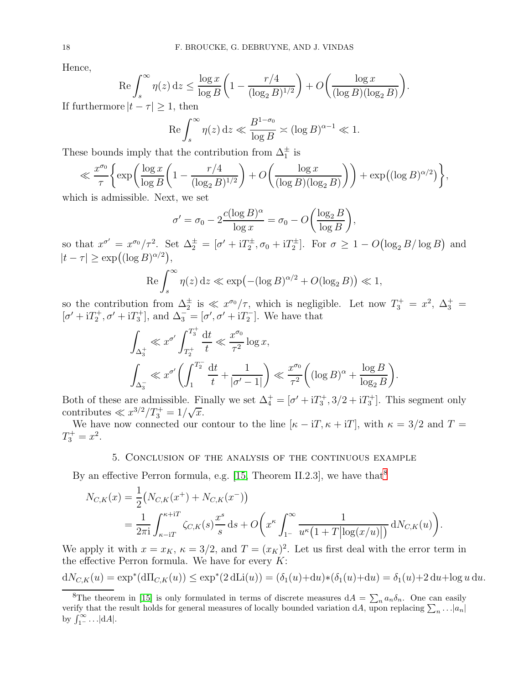Hence,

$$
\operatorname{Re} \int_{s}^{\infty} \eta(z) dz \le \frac{\log x}{\log B} \left( 1 - \frac{r/4}{(\log_2 B)^{1/2}} \right) + O\left( \frac{\log x}{(\log B)(\log_2 B)} \right).
$$

If furthermore  $|t - \tau| \geq 1$ , then

$$
\operatorname{Re} \int_s^{\infty} \eta(z) \, \mathrm{d}z \ll \frac{B^{1-\sigma_0}}{\log B} \asymp (\log B)^{\alpha-1} \ll 1.
$$

These bounds imply that the contribution from  $\Delta_1^{\pm}$  is

$$
\ll \frac{x^{\sigma_0}}{\tau} \bigg\{ \exp\bigg( \frac{\log x}{\log B} \bigg( 1 - \frac{r/4}{(\log_2 B)^{1/2}} \bigg) + O\bigg( \frac{\log x}{(\log B)(\log_2 B)} \bigg) \bigg) + \exp\big((\log B)^{\alpha/2}\big) \bigg\},
$$

which is admissible. Next, we set

$$
\sigma' = \sigma_0 - 2 \frac{c(\log B)^{\alpha}}{\log x} = \sigma_0 - O\left(\frac{\log_2 B}{\log B}\right)
$$

,

so that  $x^{\sigma'} = x^{\sigma_0}/\tau^2$ . Set  $\Delta_2^{\pm} = [\sigma' + iT_2^{\pm}, \sigma_0 + iT_2^{\pm}]$ . For  $\sigma \geq 1 - O(\log_2 B/\log B)$  and  $|t - \tau| \geq \exp((\log B)^{\alpha/2}),$ 

$$
\operatorname{Re}\int_{s}^{\infty}\eta(z)\,\mathrm{d}z\ll\exp\bigl(-(\log B)^{\alpha/2}+O(\log_{2}B)\bigr)\ll1,
$$

so the contribution from  $\Delta_2^{\pm}$  is  $\ll x^{\sigma_0}/\tau$ , which is negligible. Let now  $T_3^+ = x^2$ ,  $\Delta_3^+ =$  $[\sigma' + iT_2^+, \sigma' + iT_3^+]$ , and  $\Delta_3^- = [\sigma', \sigma' + iT_2^-]$ . We have that

$$
\int_{\Delta_3^+} \ll x^{\sigma'} \int_{T_2^+}^{T_3^+} \frac{dt}{t} \ll \frac{x^{\sigma_0}}{\tau^2} \log x,
$$
  

$$
\int_{\Delta_3^-} \ll x^{\sigma'} \left( \int_1^{T_2^-} \frac{dt}{t} + \frac{1}{|\sigma' - 1|} \right) \ll \frac{x^{\sigma_0}}{\tau^2} \left( (\log B)^{\alpha} + \frac{\log B}{\log_2 B} \right).
$$

Both of these are admissible. Finally we set  $\Delta_4^+ = [\sigma' + iT_3^+, 3/2 + iT_3^+]$ . This segment only contributes  $\ll x^{3/2}/T_3^+ = 1/\sqrt{x}$ .

<span id="page-17-0"></span>We have now connected our contour to the line  $[\kappa - iT, \kappa + iT]$ , with  $\kappa = 3/2$  and  $T =$  $T_3^+ = x^2$ .

## 5. Conclusion of the analysis of the continuous example

By an effective Perron formula, e.g. [\[15,](#page-24-15) Theorem II.2.3], we have that  $8$ 

$$
N_{C,K}(x) = \frac{1}{2} (N_{C,K}(x^+) + N_{C,K}(x^-))
$$
  
= 
$$
\frac{1}{2\pi i} \int_{\kappa - iT}^{\kappa + iT} \zeta_{C,K}(s) \frac{x^s}{s} ds + O\left(x^{\kappa} \int_{1^-}^{\infty} \frac{1}{u^{\kappa} (1 + T |\log(x/u)|)} dN_{C,K}(u)\right).
$$

We apply it with  $x = x_K$ ,  $\kappa = 3/2$ , and  $T = (x_K)^2$ . Let us first deal with the error term in the effective Perron formula. We have for every  $K$ :

$$
dN_{C,K}(u) = \exp^*(d\Pi_{C,K}(u)) \le \exp^*(2 d\text{Li}(u)) = (\delta_1(u) + du) * (\delta_1(u) + du) = \delta_1(u) + 2 du + \log u du.
$$

<span id="page-17-1"></span><sup>&</sup>lt;sup>8</sup>The theorem in [\[15\]](#page-24-15) is only formulated in terms of discrete measures  $dA = \sum_n a_n \delta_n$ . One can easily verify that the result holds for general measures of locally bounded variation dA, upon replacing  $\sum_n \ldots |a_n|$ by  $\int_{1}^{\infty} \ldots |dA|$ .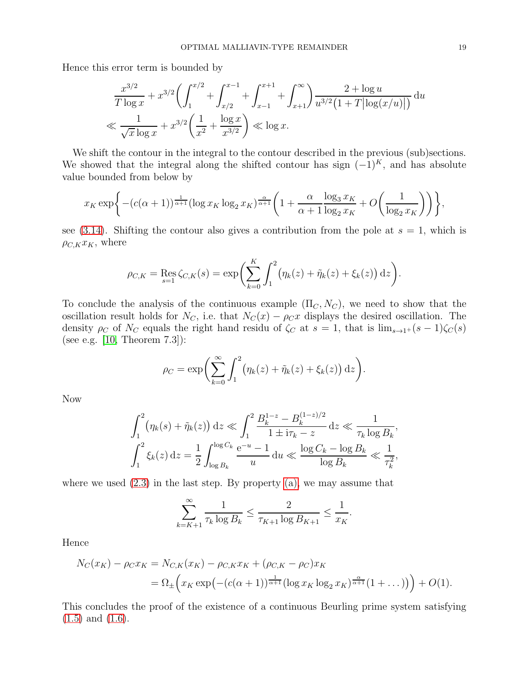Hence this error term is bounded by

$$
\frac{x^{3/2}}{T \log x} + x^{3/2} \left( \int_1^{x/2} + \int_{x/2}^{x-1} + \int_{x-1}^{x+1} + \int_{x+1}^{\infty} \right) \frac{2 + \log u}{u^{3/2} (1 + T |\log(x/u)|)} du
$$
  

$$
\ll \frac{1}{\sqrt{x} \log x} + x^{3/2} \left( \frac{1}{x^2} + \frac{\log x}{x^{3/2}} \right) \ll \log x.
$$

We shift the contour in the integral to the contour described in the previous (sub)sections. We showed that the integral along the shifted contour has sign  $(-1)^K$ , and has absolute value bounded from below by

$$
x_K \exp\bigg\{-(c(\alpha+1))^{\frac{1}{\alpha+1}}(\log x_K \log_2 x_K)^{\frac{\alpha}{\alpha+1}}\bigg(1+\frac{\alpha}{\alpha+1}\frac{\log_3 x_K}{\log_2 x_K}+O\bigg(\frac{1}{\log_2 x_K}\bigg)\bigg)\bigg\},
$$

see [\(3.14\)](#page-12-0). Shifting the contour also gives a contribution from the pole at  $s = 1$ , which is  $\rho_{C,K}x_K$ , where

$$
\rho_{C,K} = \text{Res}_{s=1} \zeta_{C,K}(s) = \exp \biggl( \sum_{k=0}^K \int_1^2 \bigl( \eta_k(z) + \tilde{\eta}_k(z) + \xi_k(z) \bigr) \, \mathrm{d}z \biggr).
$$

To conclude the analysis of the continuous example  $(\Pi_C, N_C)$ , we need to show that the oscillation result holds for  $N_C$ , i.e. that  $N_C(x) - \rho_C x$  displays the desired oscillation. The density  $\rho_C$  of  $N_C$  equals the right hand residu of  $\zeta_C$  at  $s = 1$ , that is  $\lim_{s\to 1^+}(s-1)\zeta_C(s)$ (see e.g. [\[10,](#page-24-2) Theorem 7.3]):

$$
\rho_C = \exp\bigg(\sum_{k=0}^{\infty} \int_1^2 \big(\eta_k(z) + \tilde{\eta}_k(z) + \xi_k(z)\big) \,\mathrm{d}z\bigg).
$$

Now

$$
\int_{1}^{2} \left(\eta_{k}(s) + \tilde{\eta}_{k}(z)\right) dz \ll \int_{1}^{2} \frac{B_{k}^{1-z} - B_{k}^{(1-z)/2}}{1 \pm i\tau_{k} - z} dz \ll \frac{1}{\tau_{k} \log B_{k}},
$$

$$
\int_{1}^{2} \xi_{k}(z) dz = \frac{1}{2} \int_{\log B_{k}}^{\log C_{k}} \frac{e^{-u} - 1}{u} du \ll \frac{\log C_{k} - \log B_{k}}{\log B_{k}} \ll \frac{1}{\tau_{k}^{2}},
$$

where we used  $(2.3)$  in the last step. By property  $(a)$ , we may assume that

$$
\sum_{k=K+1}^{\infty} \frac{1}{\tau_k \log B_k} \le \frac{2}{\tau_{K+1} \log B_{K+1}} \le \frac{1}{x_K}.
$$

Hence

$$
N_C(x_K) - \rho_C x_K = N_{C,K}(x_K) - \rho_{C,K} x_K + (\rho_{C,K} - \rho_C) x_K
$$
  
=  $\Omega_{\pm} \left( x_K \exp\left( - (c(\alpha + 1))^{\frac{1}{\alpha + 1}} (\log x_K \log_2 x_K)^{\frac{\alpha}{\alpha + 1}} (1 + \dots) \right) \right) + O(1).$ 

This concludes the proof of the existence of a continuous Beurling prime system satisfying [\(1.5\)](#page-1-6) and [\(1.6\)](#page-2-3).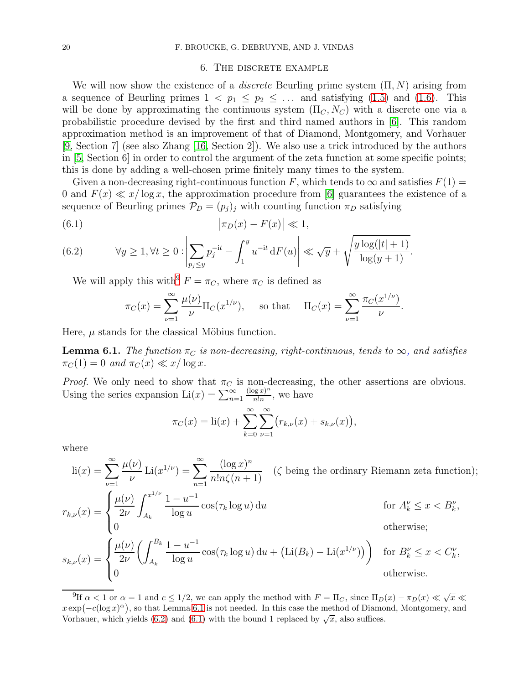### 6. The discrete example

<span id="page-19-0"></span>We will now show the existence of a *discrete* Beurling prime system  $(\Pi, N)$  arising from a sequence of Beurling primes  $1 < p_1 \leq p_2 \leq \ldots$  and satisfying [\(1.5\)](#page-1-6) and [\(1.6\)](#page-2-3). This will be done by approximating the continuous system  $(\Pi_C, N_C)$  with a discrete one via a probabilistic procedure devised by the first and third named authors in [\[6\]](#page-24-11). This random approximation method is an improvement of that of Diamond, Montgomery, and Vorhauer  $[9, \text{Section 7}]$  $[9, \text{Section 7}]$  (see also Zhang  $[16, \text{Section 2}]$ ). We also use a trick introduced by the authors in [\[5,](#page-24-9) Section 6] in order to control the argument of the zeta function at some specific points; this is done by adding a well-chosen prime finitely many times to the system.

Given a non-decreasing right-continuous function F, which tends to  $\infty$  and satisfies  $F(1)$  = 0 and  $F(x) \ll x/\log x$ , the approximation procedure from [\[6\]](#page-24-11) guarantees the existence of a sequence of Beurling primes  $\mathcal{P}_D = (p_j)_j$  with counting function  $\pi_D$  satisfying

<span id="page-19-4"></span>
$$
(6.1) \qquad \qquad |\pi_D(x) - F(x)| \ll 1,
$$

<span id="page-19-3"></span>(6.2) 
$$
\forall y \ge 1, \forall t \ge 0 : \left| \sum_{p_j \le y} p_j^{-it} - \int_1^y u^{-it} dF(u) \right| \ll \sqrt{y} + \sqrt{\frac{y \log(|t|+1)}{\log(y+1)}}.
$$

We will apply this with<sup>[9](#page-19-2)</sup>  $F = \pi_C$ , where  $\pi_C$  is defined as

$$
\pi_C(x) = \sum_{\nu=1}^{\infty} \frac{\mu(\nu)}{\nu} \Pi_C(x^{1/\nu}), \quad \text{ so that } \quad \Pi_C(x) = \sum_{\nu=1}^{\infty} \frac{\pi_C(x^{1/\nu})}{\nu}.
$$

Here,  $\mu$  stands for the classical Möbius function.

<span id="page-19-1"></span>**Lemma 6.1.** The function  $\pi_C$  is non-decreasing, right-continuous, tends to  $\infty$ , and satisfies  $\pi_C(1) = 0$  and  $\pi_C(x) \ll x/\log x$ .

*Proof.* We only need to show that  $\pi_C$  is non-decreasing, the other assertions are obvious. Using the series expansion  $\text{Li}(x) = \sum_{n=1}^{\infty}$  $(\log x)^n$  $\frac{\log x}{n!n}$ , we have

$$
\pi_C(x) = \text{li}(x) + \sum_{k=0}^{\infty} \sum_{\nu=1}^{\infty} \big( r_{k,\nu}(x) + s_{k,\nu}(x) \big),
$$

where

$$
\operatorname{li}(x) = \sum_{\nu=1}^{\infty} \frac{\mu(\nu)}{\nu} \operatorname{Li}(x^{1/\nu}) = \sum_{n=1}^{\infty} \frac{(\log x)^n}{n! n \zeta(n+1)} \quad (\zeta \text{ being the ordinary Riemann zeta function});
$$

$$
r_{k,\nu}(x) = \begin{cases} \frac{\mu(\nu)}{2\nu} \int_{A_k}^{x^{1/\nu}} \frac{1 - u^{-1}}{\log u} \cos(\tau_k \log u) \, \mathrm{d}u & \text{for } A_k^{\nu} \le x < B_k^{\nu}, \\ 0 & \text{otherwise}; \end{cases}
$$

$$
s_{k,\nu}(x) = \begin{cases} \frac{\mu(\nu)}{2\nu} \left( \int_{A_k}^{B_k} \frac{1 - u^{-1}}{\log u} \cos(\tau_k \log u) \, \mathrm{d}u + \left( \mathrm{Li}(B_k) - \mathrm{Li}(x^{1/\nu}) \right) \right) & \text{for } B_k^{\nu} \le x < C_k^{\nu}, \\ 0 & \text{otherwise.} \end{cases}
$$

<span id="page-19-2"></span><sup>&</sup>lt;sup>9</sup>If  $\alpha < 1$  or  $\alpha = 1$  and  $c \leq 1/2$ , we can apply the method with  $F = \Pi_C$ , since  $\Pi_D(x) - \pi_D(x) \ll \sqrt{x} \ll 1$  $x \exp(-c(\log x)^{\alpha})$ , so that Lemma [6.1](#page-19-1) is not needed. In this case the method of Diamond, Montgomery, and Vorhauer, which yields [\(6.2\)](#page-19-3) and [\(6.1\)](#page-19-4) with the bound 1 replaced by  $\sqrt{x}$ , also suffices.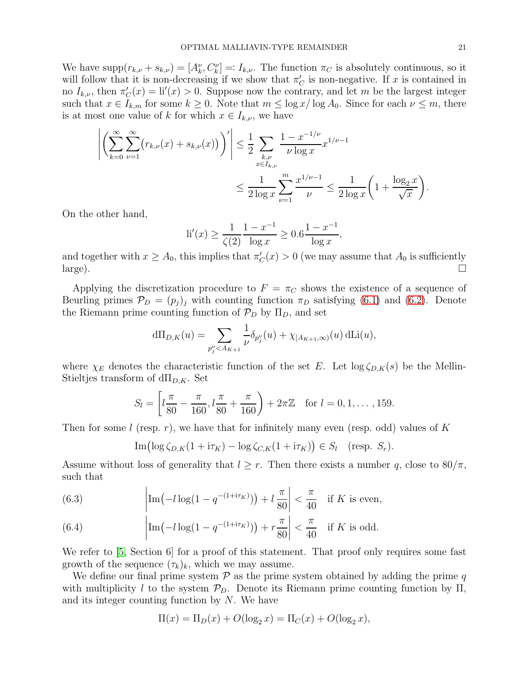We have  $\text{supp}(r_{k,\nu} + s_{k,\nu}) = [A_k^{\nu}, C_k^{\nu}] =: I_{k,\nu}$ . The function  $\pi_C$  is absolutely continuous, so it will follow that it is non-decreasing if we show that  $\pi'_{\mathcal{C}}$  is non-negative. If x is contained in no  $I_{k,\nu}$ , then  $\pi'_{\mathcal{C}}(x) = \text{li}'(x) > 0$ . Suppose now the contrary, and let m be the largest integer such that  $x \in I_{k,m}$  for some  $k \geq 0$ . Note that  $m \leq \log x / \log A_0$ . Since for each  $\nu \leq m$ , there is at most one value of k for which  $x \in I_{k,\nu}$ , we have

$$
\left| \left( \sum_{k=0}^{\infty} \sum_{\nu=1}^{\infty} (r_{k,\nu}(x) + s_{k,\nu}(x)) \right)' \right| \leq \frac{1}{2} \sum_{\substack{k,\nu \\ x \in I_{k,\nu}}} \frac{1 - x^{-1/\nu}}{\nu \log x} x^{1/\nu - 1} \leq \frac{1}{2 \log x} \left( 1 + \frac{\log_2 x}{\sqrt{x}} \right).
$$

On the other hand,

$$
\text{li}'(x) \ge \frac{1}{\zeta(2)} \frac{1 - x^{-1}}{\log x} \ge 0.6 \frac{1 - x^{-1}}{\log x},
$$

and together with  $x \ge A_0$ , this implies that  $\pi'_C(x) > 0$  (we may assume that  $A_0$  is sufficiently large).

Applying the discretization procedure to  $F = \pi_C$  shows the existence of a sequence of Beurling primes  $\mathcal{P}_D = (p_i)_i$  with counting function  $\pi_D$  satisfying [\(6.1\)](#page-19-4) and [\(6.2\)](#page-19-3). Denote the Riemann prime counting function of  $\mathcal{P}_D$  by  $\Pi_D$ , and set

$$
d\Pi_{D,K}(u) = \sum_{p_j^{\nu} < A_{K+1}} \frac{1}{\nu} \delta_{p_j^{\nu}}(u) + \chi_{[A_{K+1}, \infty)}(u) \, d\text{Li}(u),
$$

where  $\chi_E$  denotes the characteristic function of the set E. Let  $\log \zeta_{D,K}(s)$  be the Mellin-Stieltjes transform of  $d\Pi_{D,K}$ . Set

$$
S_l = \left[l\frac{\pi}{80} - \frac{\pi}{160}, l\frac{\pi}{80} + \frac{\pi}{160}\right) + 2\pi\mathbb{Z} \quad \text{for } l = 0, 1, \dots, 159.
$$

Then for some l (resp. r), we have that for infinitely many even (resp. odd) values of K

Im 
$$
(\log \zeta_{D,K}(1 + i\tau_K) - \log \zeta_{C,K}(1 + i\tau_K)) \in S_l
$$
 (resp.  $S_r$ ).

Assume without loss of generality that  $l \geq r$ . Then there exists a number q, close to 80/ $\pi$ , such that

<span id="page-20-0"></span>(6.3) 
$$
\left|\operatorname{Im}(-l\log(1-q^{-(1+i\tau_K)})) + l\frac{\pi}{80}\right| < \frac{\pi}{40} \quad \text{if } K \text{ is even},
$$

<span id="page-20-1"></span>(6.4) 
$$
\left|\operatorname{Im}(-l\log(1-q^{-(1+i\tau_K)})) + r\frac{\pi}{80}\right| < \frac{\pi}{40} \text{ if } K \text{ is odd.}
$$

We refer to [\[5,](#page-24-9) Section 6] for a proof of this statement. That proof only requires some fast growth of the sequence  $(\tau_k)_k$ , which we may assume.

We define our final prime system  $P$  as the prime system obtained by adding the prime q with multiplicity l to the system  $\mathcal{P}_D$ . Denote its Riemann prime counting function by  $\Pi$ , and its integer counting function by  $N$ . We have

$$
\Pi(x) = \Pi_D(x) + O(\log_2 x) = \Pi_C(x) + O(\log_2 x),
$$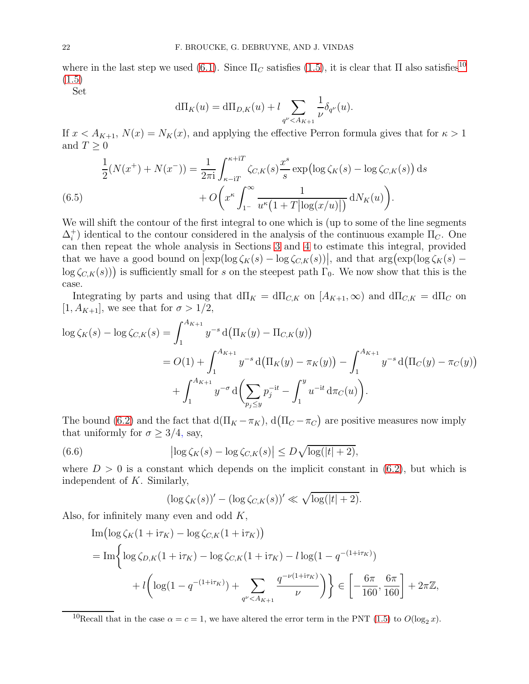where in the last step we used [\(6.1\)](#page-19-4). Since  $\Pi_C$  satisfies [\(1.5\)](#page-1-6), it is clear that  $\Pi$  also satisfies<sup>[10](#page-21-0)</sup> [\(1.5\)](#page-1-6)

Set

$$
d\Pi_K(u) = d\Pi_{D,K}(u) + l \sum_{q^{\nu} < A_{K+1}} \frac{1}{\nu} \delta_{q^{\nu}}(u).
$$

If  $x < A_{K+1}$ ,  $N(x) = N_K(x)$ , and applying the effective Perron formula gives that for  $\kappa > 1$ and  $T \geq 0$ 

$$
\frac{1}{2}(N(x^{+}) + N(x^{-})) = \frac{1}{2\pi i} \int_{\kappa - iT}^{\kappa + iT} \zeta_{C,K}(s) \frac{x^{s}}{s} \exp\left(\log \zeta_{K}(s) - \log \zeta_{C,K}(s)\right) ds
$$
\n
$$
+ O\left(x^{\kappa} \int_{1^{-}}^{\infty} \frac{1}{u^{\kappa} (1 + T|\log(x/u)|)} dN_{K}(u)\right).
$$
\n(6.5)

<span id="page-21-1"></span>We will shift the contour of the first integral to one which is (up to some of the line segments  $\Delta_i^+$ <sup>+</sup>) identical to the contour considered in the analysis of the continuous example  $\Pi_C$ . One can then repeat the whole analysis in Sections [3](#page-5-0) and [4](#page-14-0) to estimate this integral, provided that we have a good bound on  $\left[\exp(\log \zeta_K(s) - \log \zeta_{C,K}(s))\right]$ , and that  $\arg(\exp(\log \zeta_K(s) - \zeta_{C,K}(s)))$  $\log \zeta_{C,K}(s)$ ) is sufficiently small for s on the steepest path  $\Gamma_0$ . We now show that this is the case.

Integrating by parts and using that  $d\Pi_K = d\Pi_{C,K}$  on  $[A_{K+1}, \infty)$  and  $d\Pi_{C,K} = d\Pi_C$  on [1,  $A_{K+1}$ ], we see that for  $\sigma > 1/2$ ,

$$
\log \zeta_K(s) - \log \zeta_{C,K}(s) = \int_1^{A_{K+1}} y^{-s} d(\Pi_K(y) - \Pi_{C,K}(y))
$$
  
=  $O(1) + \int_1^{A_{K+1}} y^{-s} d(\Pi_K(y) - \pi_K(y)) - \int_1^{A_{K+1}} y^{-s} d(\Pi_C(y) - \pi_C(y))$   
+  $\int_1^{A_{K+1}} y^{-\sigma} d(\sum_{p_j \le y} p_j^{-it} - \int_1^y u^{-it} d\pi_C(u)).$ 

The bound [\(6.2\)](#page-19-3) and the fact that  $d(\Pi_K - \pi_K)$ ,  $d(\Pi_C - \pi_C)$  are positive measures now imply that uniformly for  $\sigma \geq 3/4$ , say,

(6.6) 
$$
\left|\log \zeta_K(s) - \log \zeta_{C,K}(s)\right| \leq D\sqrt{\log(|t|+2)},
$$

where  $D > 0$  is a constant which depends on the implicit constant in [\(6.2\)](#page-19-3), but which is independent of K. Similarly,

<span id="page-21-2"></span>
$$
(\log \zeta_K(s))' - (\log \zeta_{C,K}(s))' \ll \sqrt{\log(|t|+2)}.
$$

Also, for infinitely many even and odd  $K$ ,

Im 
$$
(\log \zeta_K (1 + i\tau_K) - \log \zeta_{C,K} (1 + i\tau_K))
$$
  
= Im  $\left\{ \log \zeta_{D,K} (1 + i\tau_K) - \log \zeta_{C,K} (1 + i\tau_K) - l \log (1 - q^{-(1+i\tau_K)}) \right\}$   
+  $l \left( \log (1 - q^{-(1+i\tau_K)}) + \sum_{q^{\nu} < A_{K+1}} \frac{q^{-\nu(1+i\tau_K)}}{\nu} \right) \right\} \in \left[ -\frac{6\pi}{160}, \frac{6\pi}{160} \right] + 2\pi \mathbb{Z},$ 

<span id="page-21-0"></span><sup>10</sup>Recall that in the case  $\alpha = c = 1$ , we have altered the error term in the PNT [\(1.5\)](#page-1-6) to  $O(\log_2 x)$ .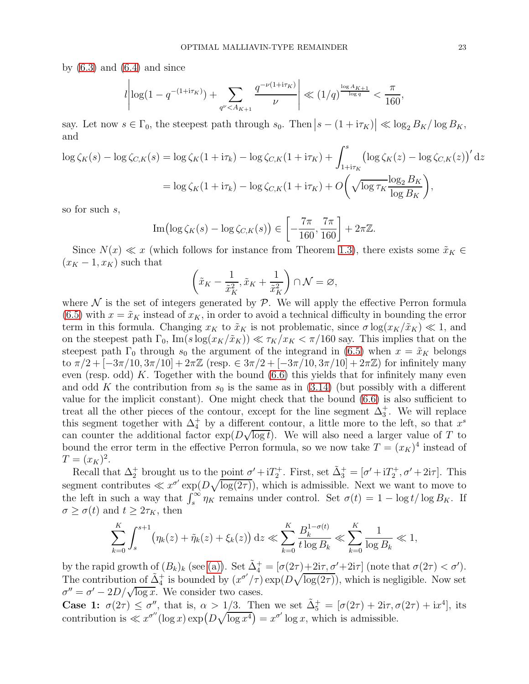by  $(6.3)$  and  $(6.4)$  and since

$$
l \left| \log(1 - q^{-(1+i\tau_K)}) + \sum_{q^{\nu} < A_{K+1}} \frac{q^{-\nu(1+i\tau_K)}}{\nu} \right| \ll (1/q)^{\frac{\log A_{K+1}}{\log q}} < \frac{\pi}{160},
$$

say. Let now  $s \in \Gamma_0$ , the steepest path through  $s_0$ . Then  $|s - (1 + i\tau_K)| \ll \log_2 B_K / \log B_K$ , and

$$
\log \zeta_K(s) - \log \zeta_{C,K}(s) = \log \zeta_K(1 + i\tau_k) - \log \zeta_{C,K}(1 + i\tau_K) + \int_{1 + i\tau_K}^s \left(\log \zeta_K(z) - \log \zeta_{C,K}(z)\right)' dz
$$

$$
= \log \zeta_K(1 + i\tau_k) - \log \zeta_{C,K}(1 + i\tau_K) + O\left(\sqrt{\log \tau_K} \frac{\log_2 B_K}{\log B_K}\right),
$$

so for such s,

Im
$$
(\log \zeta_K(s) - \log \zeta_{C,K}(s)) \in \left[-\frac{7\pi}{160}, \frac{7\pi}{160}\right] + 2\pi\mathbb{Z}.
$$

Since  $N(x) \ll x$  (which follows for instance from Theorem [1.3\)](#page-1-1), there exists some  $\tilde{x}_K \in$  $(x_K - 1, x_K)$  such that

$$
\left(\tilde{x}_K - \frac{1}{\tilde{x}_K^2}, \tilde{x}_K + \frac{1}{\tilde{x}_K^2}\right) \cap \mathcal{N} = \varnothing,
$$

where  $\mathcal N$  is the set of integers generated by  $\mathcal P$ . We will apply the effective Perron formula  $(6.5)$  with  $x = \tilde{x}_K$  instead of  $x_K$ , in order to avoid a technical difficulty in bounding the error term in this formula. Changing  $x_K$  to  $\tilde{x}_K$  is not problematic, since  $\sigma \log(x_K/\tilde{x}_K) \ll 1$ , and on the steepest path  $\Gamma_0$ ,  $\text{Im}(s \log(x_K/\tilde{x}_K)) \ll \tau_K/x_K < \pi/160$  say. This implies that on the steepest path  $\Gamma_0$  through  $s_0$  the argument of the integrand in [\(6.5\)](#page-21-1) when  $x = \tilde{x}_K$  belongs to  $\pi/2 + [-3\pi/10, 3\pi/10] + 2\pi\mathbb{Z}$  (resp.  $\in 3\pi/2 + [-3\pi/10, 3\pi/10] + 2\pi\mathbb{Z}$ ) for infinitely many even (resp. odd) K. Together with the bound  $(6.6)$  this yields that for infinitely many even and odd K the contribution from  $s_0$  is the same as in [\(3.14\)](#page-12-0) (but possibly with a different value for the implicit constant). One might check that the bound [\(6.6\)](#page-21-2) is also sufficient to treat all the other pieces of the contour, except for the line segment  $\Delta_3^+$ . We will replace this segment together with  $\Delta_4^+$  by a different contour, a little more to the left, so that  $x^s$ can counter the additional factor  $\exp(D\sqrt{\log t})$ . We will also need a larger value of T to bound the error term in the effective Perron formula, so we now take  $T = (x_K)^4$  instead of  $T = (x_K)^2$ .

Recall that  $\Delta_2^+$  brought us to the point  $\sigma' + iT_2^+$ . First, set  $\tilde{\Delta}_3^+ = [\sigma' + iT_2^+, \sigma' + 2i\tau]$ . This segment contributes  $\ll x^{\sigma'} \exp(D\sqrt{\log(2\tau)})$ , which is admissible. Next we want to move to the left in such a way that  $\int_s^{\infty} \eta_K$  remains under control. Set  $\sigma(t) = 1 - \log t / \log B_K$ . If  $\sigma \geq \sigma(t)$  and  $t \geq 2\tau_K$ , then

$$
\sum_{k=0}^K \int_s^{s+1} \left( \eta_k(z) + \tilde{\eta}_k(z) + \xi_k(z) \right) dz \ll \sum_{k=0}^K \frac{B_k^{1-\sigma(t)}}{t \log B_k} \ll \sum_{k=0}^K \frac{1}{\log B_k} \ll 1,
$$

by the rapid growth of  $(B_k)_k$  (see [\(a\)\)](#page-4-1). Set  $\tilde{\Delta}_4^+ = [\sigma(2\tau) + 2i\tau, \sigma' + 2i\tau]$  (note that  $\sigma(2\tau) < \sigma'$ ). The contribution of  $\tilde{\Delta}_4^+$  is bounded by  $(x^{\sigma'}/\tau) \exp(D\sqrt{\log(2\tau)})$ , which is negligible. Now set  $\sigma'' = \sigma' - 2D/\sqrt{\log x}$ . We consider two cases.

Case 1:  $\sigma(2\tau) \leq \sigma''$ , that is,  $\alpha > 1/3$ . Then we set  $\tilde{\Delta}_5^+ = [\sigma(2\tau) + 2i\tau, \sigma(2\tau) + i\tau^4]$ , its contribution is  $\ll x^{\sigma''}(\log x) \exp(D\sqrt{\log x^4}) = x^{\sigma'} \log x$ , which is admissible.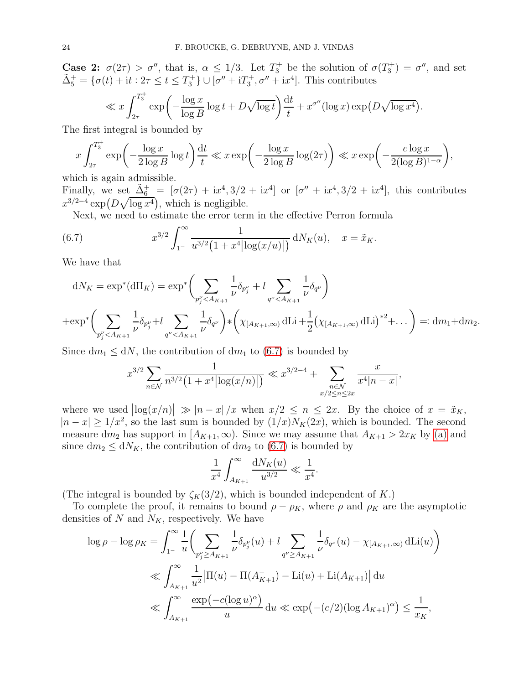**Case 2:**  $\sigma(2\tau) > \sigma''$ , that is,  $\alpha \leq 1/3$ . Let  $T_3^+$  be the solution of  $\sigma(T_3^+) = \sigma''$ , and set  $\tilde{\Delta}_{5}^{+} = \{ \sigma(t) + \mathrm{i}t : 2\tau \leq t \leq T_{3}^{+} \} \cup [\sigma'' + \mathrm{i}T_{3}^{+}, \sigma'' + \mathrm{i}x^{4}]$ . This contributes

$$
\ll x \int_{2\tau}^{T_3^+} \exp\biggl(-\frac{\log x}{\log B} \log t + D\sqrt{\log t}\biggr) \frac{\mathrm{d}t}{t} + x^{\sigma''} (\log x) \exp\bigl(D\sqrt{\log x^4}\bigr).
$$

The first integral is bounded by

$$
x \int_{2\tau}^{T_3^+} \exp\left(-\frac{\log x}{2\log B} \log t\right) \frac{dt}{t} \ll x \exp\left(-\frac{\log x}{2\log B} \log(2\tau)\right) \ll x \exp\left(-\frac{c\log x}{2(\log B)^{1-\alpha}}\right),
$$

which is again admissible.

Finally, we set  $\tilde{\Delta}_6^+$  =  $[\sigma(2\tau) + i x^4, 3/2 + i x^4]$  or  $[\sigma'' + i x^4, 3/2 + i x^4]$ , this contributes  $x^{3/2-4} \exp(D\sqrt{\log x^4})$ , which is negligible.

<span id="page-23-0"></span>Next, we need to estimate the error term in the effective Perron formula

(6.7) 
$$
x^{3/2} \int_{1}^{\infty} \frac{1}{u^{3/2} (1 + x^4 |\log(x/u)|)} dN_K(u), \quad x = \tilde{x}_K.
$$

We have that

$$
dN_K = \exp^* (d\Pi_K) = \exp^* \left( \sum_{p_j^{\nu} < A_{K+1}} \frac{1}{\nu} \delta_{p_j^{\nu}} + l \sum_{q^{\nu} < A_{K+1}} \frac{1}{\nu} \delta_{q^{\nu}} \right)
$$
  
+ 
$$
\exp^* \left( \sum_{p_j^{\nu} < A_{K+1}} \frac{1}{\nu} \delta_{p_j^{\nu}} + l \sum_{q^{\nu} < A_{K+1}} \frac{1}{\nu} \delta_{q^{\nu}} \right) * \left( \chi_{[A_{K+1}, \infty)} \, dLi + \frac{1}{2} \left( \chi_{[A_{K+1}, \infty)} \, dLi \right)^{*2} + \dots \right) =: dm_1 + dm_2.
$$

Since  $dm_1 \leq dN$ , the contribution of  $dm_1$  to [\(6.7\)](#page-23-0) is bounded by

$$
x^{3/2} \sum_{n \in \mathcal{N}} \frac{1}{n^{3/2} \left(1 + x^4 |\log(x/n)|\right)} \ll x^{3/2 - 4} + \sum_{\substack{n \in \mathcal{N} \\ x/2 \le n \le 2x}} \frac{x}{x^4 |n - x|},
$$

where we used  $\left|\log(x/n)\right| \gg |n-x|/x$  when  $x/2 \leq n \leq 2x$ . By the choice of  $x = \tilde{x}_K$ ,  $|n-x| \geq 1/x^2$ , so the last sum is bounded by  $(1/x)N_K(2x)$ , which is bounded. The second measure dm<sub>2</sub> has support in  $[A_{K+1}, \infty)$ . Since we may assume that  $A_{K+1} > 2x_K$  by [\(a\)](#page-4-1) and since  $dm_2 \leq dN_K$ , the contribution of  $dm_2$  to [\(6.7\)](#page-23-0) is bounded by

$$
\frac{1}{x^4} \int_{A_{K+1}}^{\infty} \frac{dN_K(u)}{u^{3/2}} \ll \frac{1}{x^4}.
$$

(The integral is bounded by  $\zeta_K(3/2)$ , which is bounded independent of K.)

To complete the proof, it remains to bound  $\rho - \rho_K$ , where  $\rho$  and  $\rho_K$  are the asymptotic densities of N and  $N_K$ , respectively. We have

$$
\log \rho - \log \rho_K = \int_{1}^{\infty} \frac{1}{u} \left( \sum_{p_j^{\nu} \ge A_{K+1}} \frac{1}{\nu} \delta_{p_j^{\nu}}(u) + l \sum_{q^{\nu} \ge A_{K+1}} \frac{1}{\nu} \delta_{q^{\nu}}(u) - \chi_{[A_{K+1}, \infty)} \, d\text{Li}(u) \right)
$$
  

$$
\ll \int_{A_{K+1}}^{\infty} \frac{1}{u^2} |\Pi(u) - \Pi(A_{K+1}^-) - \text{Li}(u) + \text{Li}(A_{K+1})| \, du
$$
  

$$
\ll \int_{A_{K+1}}^{\infty} \frac{\exp(-c(\log u)^{\alpha})}{u} \, du \ll \exp(-(c/2)(\log A_{K+1})^{\alpha}) \le \frac{1}{x_K},
$$